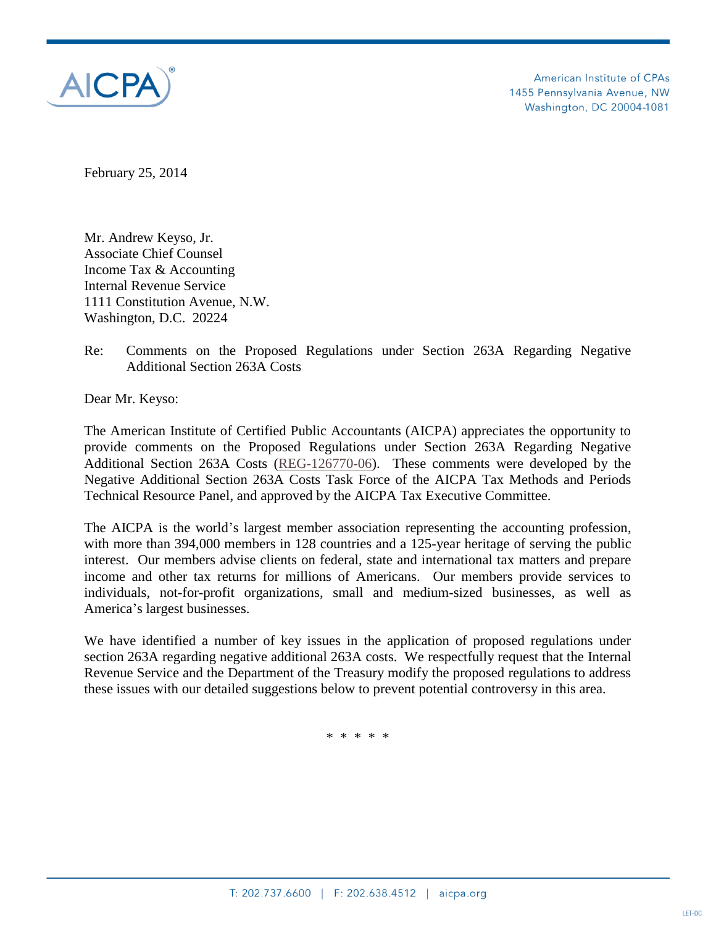

February 25, 2014

Mr. Andrew Keyso, Jr. Associate Chief Counsel Income Tax & Accounting Internal Revenue Service 1111 Constitution Avenue, N.W. Washington, D.C. 20224

Re: Comments on the Proposed Regulations under Section 263A Regarding Negative Additional Section 263A Costs

Dear Mr. Keyso:

The American Institute of Certified Public Accountants (AICPA) appreciates the opportunity to provide comments on the Proposed Regulations under Section 263A Regarding Negative Additional Section 263A Costs [\(REG-126770-06\)](http://www.gpo.gov/fdsys/pkg/FR-2012-09-05/pdf/2012-21743.pdf). These comments were developed by the Negative Additional Section 263A Costs Task Force of the AICPA Tax Methods and Periods Technical Resource Panel, and approved by the AICPA Tax Executive Committee.

The AICPA is the world's largest member association representing the accounting profession, with more than 394,000 members in 128 countries and a 125-year heritage of serving the public interest. Our members advise clients on federal, state and international tax matters and prepare income and other tax returns for millions of Americans. Our members provide services to individuals, not-for-profit organizations, small and medium-sized businesses, as well as America's largest businesses.

We have identified a number of key issues in the application of proposed regulations under section 263A regarding negative additional 263A costs. We respectfully request that the Internal Revenue Service and the Department of the Treasury modify the proposed regulations to address these issues with our detailed suggestions below to prevent potential controversy in this area.

\* \* \* \* \*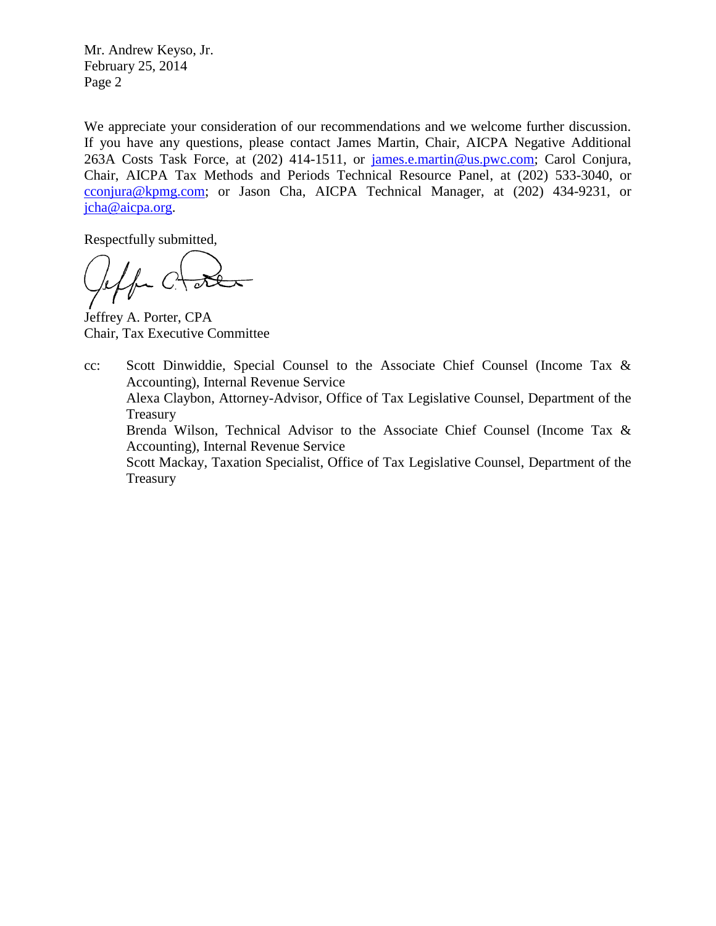Mr. Andrew Keyso, Jr. February 25, 2014 Page 2

We appreciate your consideration of our recommendations and we welcome further discussion. If you have any questions, please contact James Martin, Chair, AICPA Negative Additional 263A Costs Task Force, at (202) 414-1511, or [james.e.martin@us.pwc.com;](mailto:christine.turgeon@us.pwc.com) Carol Conjura, Chair, AICPA Tax Methods and Periods Technical Resource Panel, at (202) 533-3040, or [cconjura@kpmg.com;](mailto:cconjura@kpmg.com) or Jason Cha, AICPA Technical Manager, at (202) 434-9231, or [jcha@aicpa.org.](mailto:jcha@aicpa.org)

Respectfully submitted,

- C

Jeffrey A. Porter, CPA Chair, Tax Executive Committee

cc: Scott Dinwiddie, Special Counsel to the Associate Chief Counsel (Income Tax & Accounting), Internal Revenue Service

Alexa Claybon, Attorney-Advisor, Office of Tax Legislative Counsel, Department of the Treasury

Brenda Wilson, Technical Advisor to the Associate Chief Counsel (Income Tax & Accounting), Internal Revenue Service

Scott Mackay, Taxation Specialist, Office of Tax Legislative Counsel, Department of the Treasury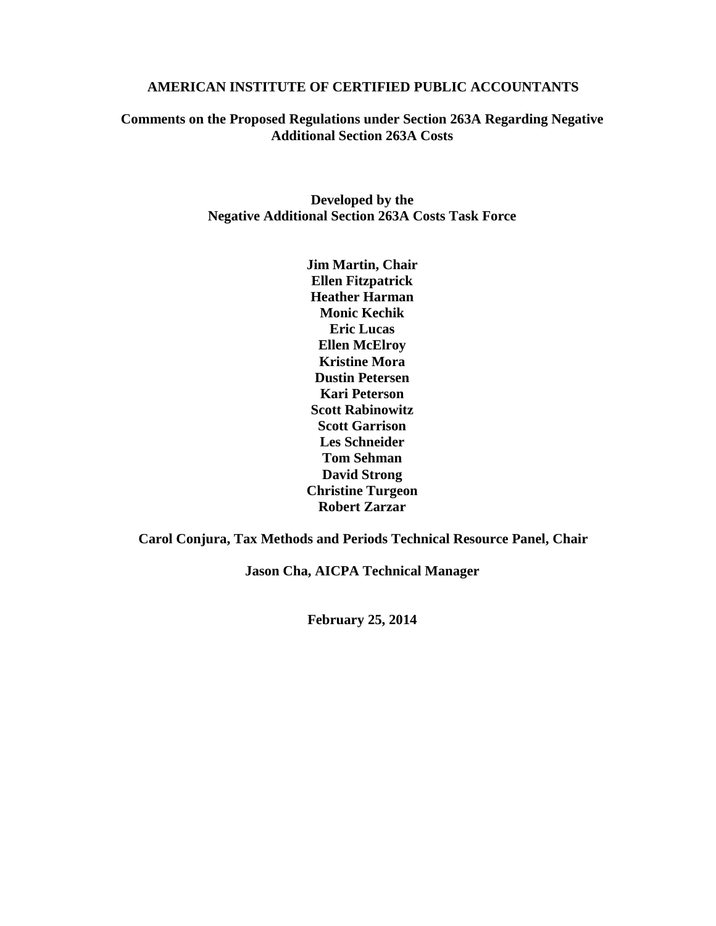#### **AMERICAN INSTITUTE OF CERTIFIED PUBLIC ACCOUNTANTS**

### **Comments on the Proposed Regulations under Section 263A Regarding Negative Additional Section 263A Costs**

**Developed by the Negative Additional Section 263A Costs Task Force**

> **Jim Martin, Chair Ellen Fitzpatrick Heather Harman Monic Kechik Eric Lucas Ellen McElroy Kristine Mora Dustin Petersen Kari Peterson Scott Rabinowitz Scott Garrison Les Schneider Tom Sehman David Strong Christine Turgeon Robert Zarzar**

**Carol Conjura, Tax Methods and Periods Technical Resource Panel, Chair**

**Jason Cha, AICPA Technical Manager**

**February 25, 2014**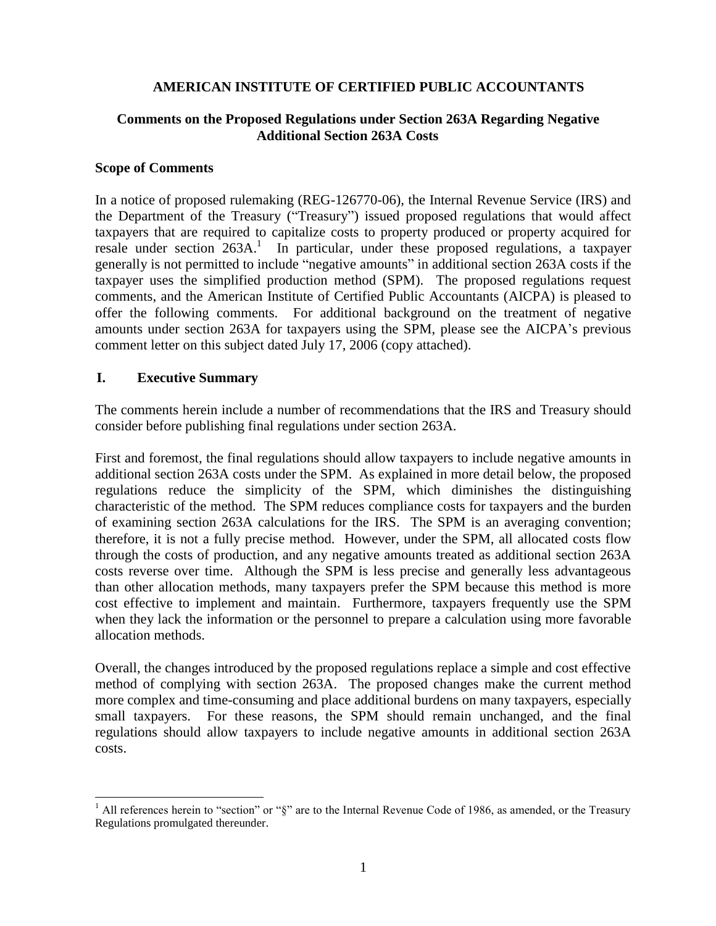### **AMERICAN INSTITUTE OF CERTIFIED PUBLIC ACCOUNTANTS**

### **Comments on the Proposed Regulations under Section 263A Regarding Negative Additional Section 263A Costs**

#### **Scope of Comments**

In a notice of proposed rulemaking (REG-126770-06), the Internal Revenue Service (IRS) and the Department of the Treasury ("Treasury") issued proposed regulations that would affect taxpayers that are required to capitalize costs to property produced or property acquired for resale under section 263A.<sup>1</sup> In particular, under these proposed regulations, a taxpayer generally is not permitted to include "negative amounts" in additional section 263A costs if the taxpayer uses the simplified production method (SPM). The proposed regulations request comments, and the American Institute of Certified Public Accountants (AICPA) is pleased to offer the following comments. For additional background on the treatment of negative amounts under section 263A for taxpayers using the SPM, please see the AICPA's previous comment letter on this subject dated July 17, 2006 (copy attached).

### **I. Executive Summary**

The comments herein include a number of recommendations that the IRS and Treasury should consider before publishing final regulations under section 263A.

First and foremost, the final regulations should allow taxpayers to include negative amounts in additional section 263A costs under the SPM. As explained in more detail below, the proposed regulations reduce the simplicity of the SPM, which diminishes the distinguishing characteristic of the method. The SPM reduces compliance costs for taxpayers and the burden of examining section 263A calculations for the IRS. The SPM is an averaging convention; therefore, it is not a fully precise method. However, under the SPM, all allocated costs flow through the costs of production, and any negative amounts treated as additional section 263A costs reverse over time. Although the SPM is less precise and generally less advantageous than other allocation methods, many taxpayers prefer the SPM because this method is more cost effective to implement and maintain. Furthermore, taxpayers frequently use the SPM when they lack the information or the personnel to prepare a calculation using more favorable allocation methods.

Overall, the changes introduced by the proposed regulations replace a simple and cost effective method of complying with section 263A. The proposed changes make the current method more complex and time-consuming and place additional burdens on many taxpayers, especially small taxpayers. For these reasons, the SPM should remain unchanged, and the final regulations should allow taxpayers to include negative amounts in additional section 263A costs.

 $\overline{a}$ <sup>1</sup> All references herein to "section" or " $\S$ " are to the Internal Revenue Code of 1986, as amended, or the Treasury Regulations promulgated thereunder.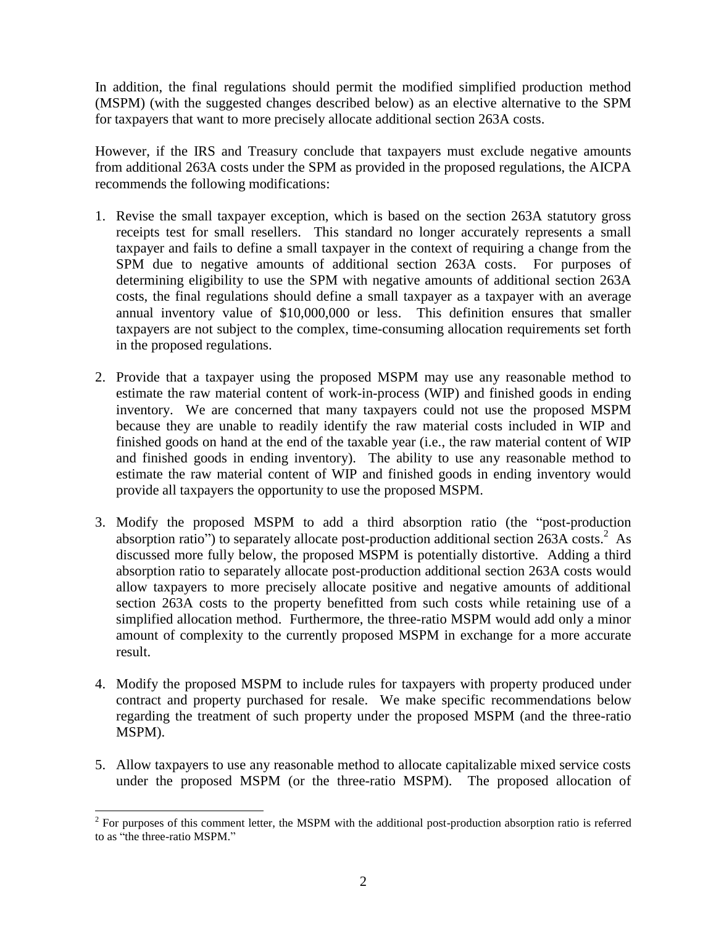In addition, the final regulations should permit the modified simplified production method (MSPM) (with the suggested changes described below) as an elective alternative to the SPM for taxpayers that want to more precisely allocate additional section 263A costs.

However, if the IRS and Treasury conclude that taxpayers must exclude negative amounts from additional 263A costs under the SPM as provided in the proposed regulations, the AICPA recommends the following modifications:

- 1. Revise the small taxpayer exception, which is based on the section 263A statutory gross receipts test for small resellers. This standard no longer accurately represents a small taxpayer and fails to define a small taxpayer in the context of requiring a change from the SPM due to negative amounts of additional section 263A costs. For purposes of determining eligibility to use the SPM with negative amounts of additional section 263A costs, the final regulations should define a small taxpayer as a taxpayer with an average annual inventory value of \$10,000,000 or less. This definition ensures that smaller taxpayers are not subject to the complex, time-consuming allocation requirements set forth in the proposed regulations.
- 2. Provide that a taxpayer using the proposed MSPM may use any reasonable method to estimate the raw material content of work-in-process (WIP) and finished goods in ending inventory. We are concerned that many taxpayers could not use the proposed MSPM because they are unable to readily identify the raw material costs included in WIP and finished goods on hand at the end of the taxable year (i.e., the raw material content of WIP and finished goods in ending inventory). The ability to use any reasonable method to estimate the raw material content of WIP and finished goods in ending inventory would provide all taxpayers the opportunity to use the proposed MSPM.
- 3. Modify the proposed MSPM to add a third absorption ratio (the "post-production absorption ratio") to separately allocate post-production additional section 263A costs.<sup>2</sup> As discussed more fully below, the proposed MSPM is potentially distortive. Adding a third absorption ratio to separately allocate post-production additional section 263A costs would allow taxpayers to more precisely allocate positive and negative amounts of additional section 263A costs to the property benefitted from such costs while retaining use of a simplified allocation method. Furthermore, the three-ratio MSPM would add only a minor amount of complexity to the currently proposed MSPM in exchange for a more accurate result.
- 4. Modify the proposed MSPM to include rules for taxpayers with property produced under contract and property purchased for resale. We make specific recommendations below regarding the treatment of such property under the proposed MSPM (and the three-ratio MSPM).
- 5. Allow taxpayers to use any reasonable method to allocate capitalizable mixed service costs under the proposed MSPM (or the three-ratio MSPM). The proposed allocation of

 $\overline{a}$  $2^{2}$  For purposes of this comment letter, the MSPM with the additional post-production absorption ratio is referred to as "the three-ratio MSPM."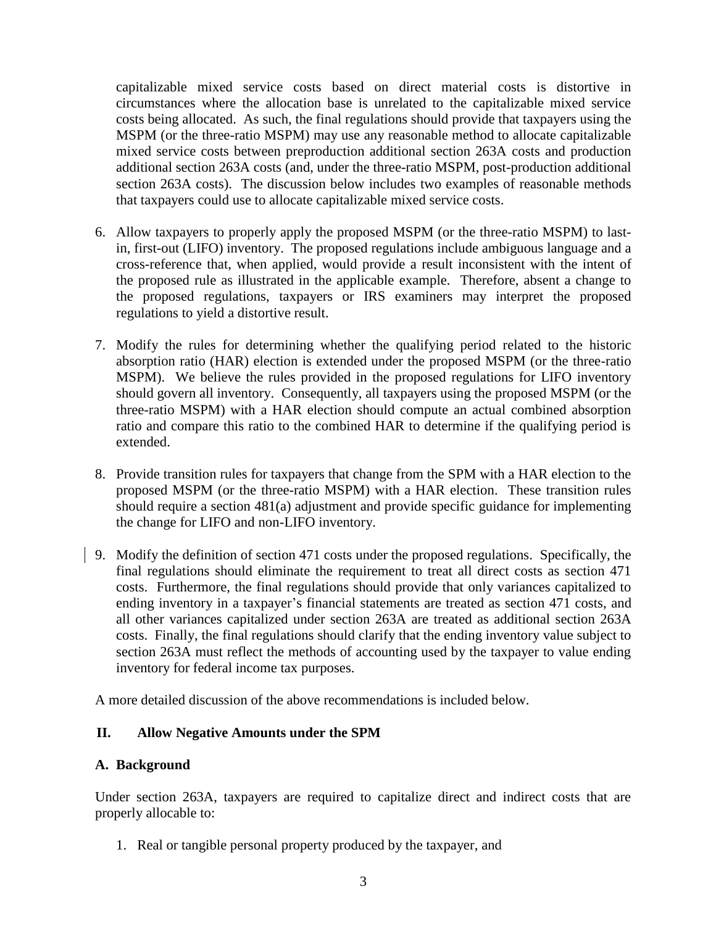capitalizable mixed service costs based on direct material costs is distortive in circumstances where the allocation base is unrelated to the capitalizable mixed service costs being allocated. As such, the final regulations should provide that taxpayers using the MSPM (or the three-ratio MSPM) may use any reasonable method to allocate capitalizable mixed service costs between preproduction additional section 263A costs and production additional section 263A costs (and, under the three-ratio MSPM, post-production additional section 263A costs). The discussion below includes two examples of reasonable methods that taxpayers could use to allocate capitalizable mixed service costs.

- 6. Allow taxpayers to properly apply the proposed MSPM (or the three-ratio MSPM) to lastin, first-out (LIFO) inventory. The proposed regulations include ambiguous language and a cross-reference that, when applied, would provide a result inconsistent with the intent of the proposed rule as illustrated in the applicable example. Therefore, absent a change to the proposed regulations, taxpayers or IRS examiners may interpret the proposed regulations to yield a distortive result.
- 7. Modify the rules for determining whether the qualifying period related to the historic absorption ratio (HAR) election is extended under the proposed MSPM (or the three-ratio MSPM). We believe the rules provided in the proposed regulations for LIFO inventory should govern all inventory. Consequently, all taxpayers using the proposed MSPM (or the three-ratio MSPM) with a HAR election should compute an actual combined absorption ratio and compare this ratio to the combined HAR to determine if the qualifying period is extended.
- 8. Provide transition rules for taxpayers that change from the SPM with a HAR election to the proposed MSPM (or the three-ratio MSPM) with a HAR election. These transition rules should require a section 481(a) adjustment and provide specific guidance for implementing the change for LIFO and non-LIFO inventory.
- 9. Modify the definition of section 471 costs under the proposed regulations. Specifically, the final regulations should eliminate the requirement to treat all direct costs as section 471 costs. Furthermore, the final regulations should provide that only variances capitalized to ending inventory in a taxpayer's financial statements are treated as section 471 costs, and all other variances capitalized under section 263A are treated as additional section 263A costs. Finally, the final regulations should clarify that the ending inventory value subject to section 263A must reflect the methods of accounting used by the taxpayer to value ending inventory for federal income tax purposes.

A more detailed discussion of the above recommendations is included below.

# **II. Allow Negative Amounts under the SPM**

### **A. Background**

Under section 263A, taxpayers are required to capitalize direct and indirect costs that are properly allocable to:

1. Real or tangible personal property produced by the taxpayer, and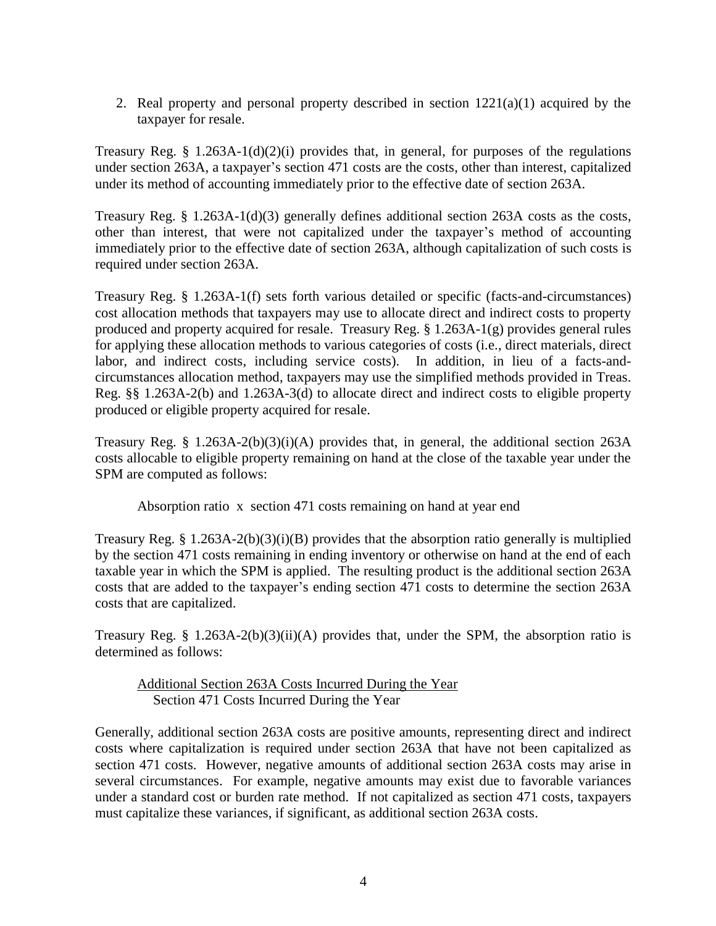2. Real property and personal property described in section 1221(a)(1) acquired by the taxpayer for resale.

Treasury Reg. § 1.263A-1(d)(2)(i) provides that, in general, for purposes of the regulations under section 263A, a taxpayer's section 471 costs are the costs, other than interest, capitalized under its method of accounting immediately prior to the effective date of section 263A.

Treasury Reg.  $\S 1.263A-1(d)(3)$  generally defines additional section 263A costs as the costs, other than interest, that were not capitalized under the taxpayer's method of accounting immediately prior to the effective date of section 263A, although capitalization of such costs is required under section 263A.

Treasury Reg. § 1.263A-1(f) sets forth various detailed or specific (facts-and-circumstances) cost allocation methods that taxpayers may use to allocate direct and indirect costs to property produced and property acquired for resale. Treasury Reg. § 1.263A-1(g) provides general rules for applying these allocation methods to various categories of costs (i.e., direct materials, direct labor, and indirect costs, including service costs). In addition, in lieu of a facts-andcircumstances allocation method, taxpayers may use the simplified methods provided in Treas. Reg. §§ 1.263A-2(b) and 1.263A-3(d) to allocate direct and indirect costs to eligible property produced or eligible property acquired for resale.

Treasury Reg. § 1.263A-2(b)(3)(i)(A) provides that, in general, the additional section  $263A$ costs allocable to eligible property remaining on hand at the close of the taxable year under the SPM are computed as follows:

Absorption ratio x section 471 costs remaining on hand at year end

Treasury Reg. § 1.263A-2(b)(3)(i)(B) provides that the absorption ratio generally is multiplied by the section 471 costs remaining in ending inventory or otherwise on hand at the end of each taxable year in which the SPM is applied. The resulting product is the additional section 263A costs that are added to the taxpayer's ending section 471 costs to determine the section 263A costs that are capitalized.

Treasury Reg. § 1.263A-2(b)(3)(ii)(A) provides that, under the SPM, the absorption ratio is determined as follows:

Additional Section 263A Costs Incurred During the Year Section 471 Costs Incurred During the Year

Generally, additional section 263A costs are positive amounts, representing direct and indirect costs where capitalization is required under section 263A that have not been capitalized as section 471 costs. However, negative amounts of additional section 263A costs may arise in several circumstances. For example, negative amounts may exist due to favorable variances under a standard cost or burden rate method. If not capitalized as section 471 costs, taxpayers must capitalize these variances, if significant, as additional section 263A costs.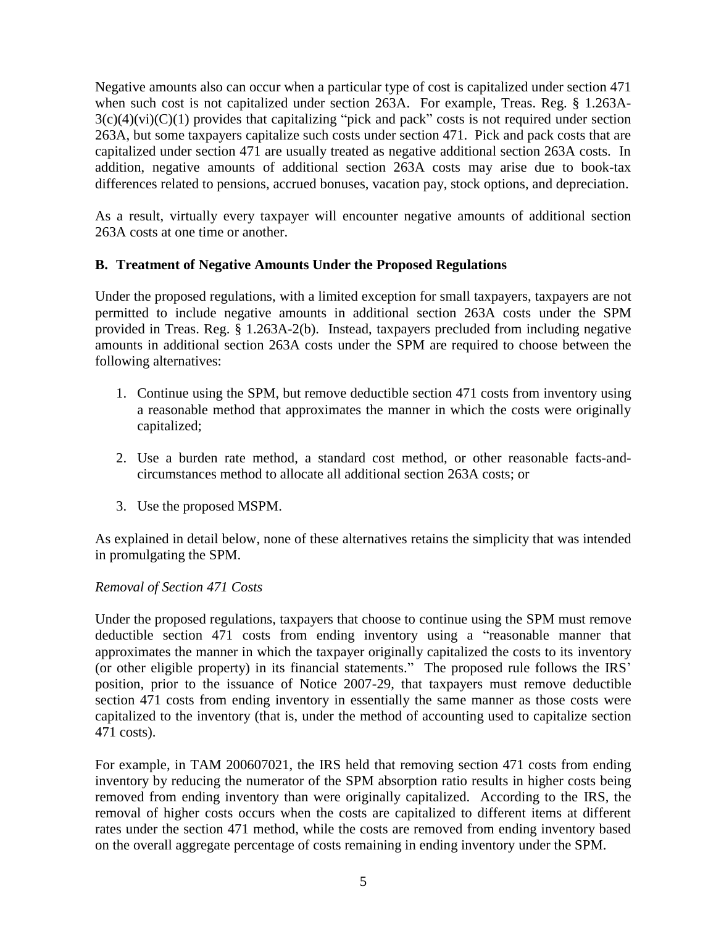Negative amounts also can occur when a particular type of cost is capitalized under section 471 when such cost is not capitalized under section 263A. For example, Treas. Reg. § 1.263A- $3(c)(4)(vi)(C)(1)$  provides that capitalizing "pick and pack" costs is not required under section 263A, but some taxpayers capitalize such costs under section 471. Pick and pack costs that are capitalized under section 471 are usually treated as negative additional section 263A costs. In addition, negative amounts of additional section 263A costs may arise due to book-tax differences related to pensions, accrued bonuses, vacation pay, stock options, and depreciation.

As a result, virtually every taxpayer will encounter negative amounts of additional section 263A costs at one time or another.

# **B. Treatment of Negative Amounts Under the Proposed Regulations**

Under the proposed regulations, with a limited exception for small taxpayers, taxpayers are not permitted to include negative amounts in additional section 263A costs under the SPM provided in Treas. Reg. § 1.263A-2(b). Instead, taxpayers precluded from including negative amounts in additional section 263A costs under the SPM are required to choose between the following alternatives:

- 1. Continue using the SPM, but remove deductible section 471 costs from inventory using a reasonable method that approximates the manner in which the costs were originally capitalized;
- 2. Use a burden rate method, a standard cost method, or other reasonable facts-andcircumstances method to allocate all additional section 263A costs; or
- 3. Use the proposed MSPM.

As explained in detail below, none of these alternatives retains the simplicity that was intended in promulgating the SPM.

### *Removal of Section 471 Costs*

Under the proposed regulations, taxpayers that choose to continue using the SPM must remove deductible section 471 costs from ending inventory using a "reasonable manner that approximates the manner in which the taxpayer originally capitalized the costs to its inventory (or other eligible property) in its financial statements." The proposed rule follows the IRS' position, prior to the issuance of Notice 2007-29, that taxpayers must remove deductible section 471 costs from ending inventory in essentially the same manner as those costs were capitalized to the inventory (that is, under the method of accounting used to capitalize section 471 costs).

For example, in TAM 200607021, the IRS held that removing section 471 costs from ending inventory by reducing the numerator of the SPM absorption ratio results in higher costs being removed from ending inventory than were originally capitalized. According to the IRS, the removal of higher costs occurs when the costs are capitalized to different items at different rates under the section 471 method, while the costs are removed from ending inventory based on the overall aggregate percentage of costs remaining in ending inventory under the SPM.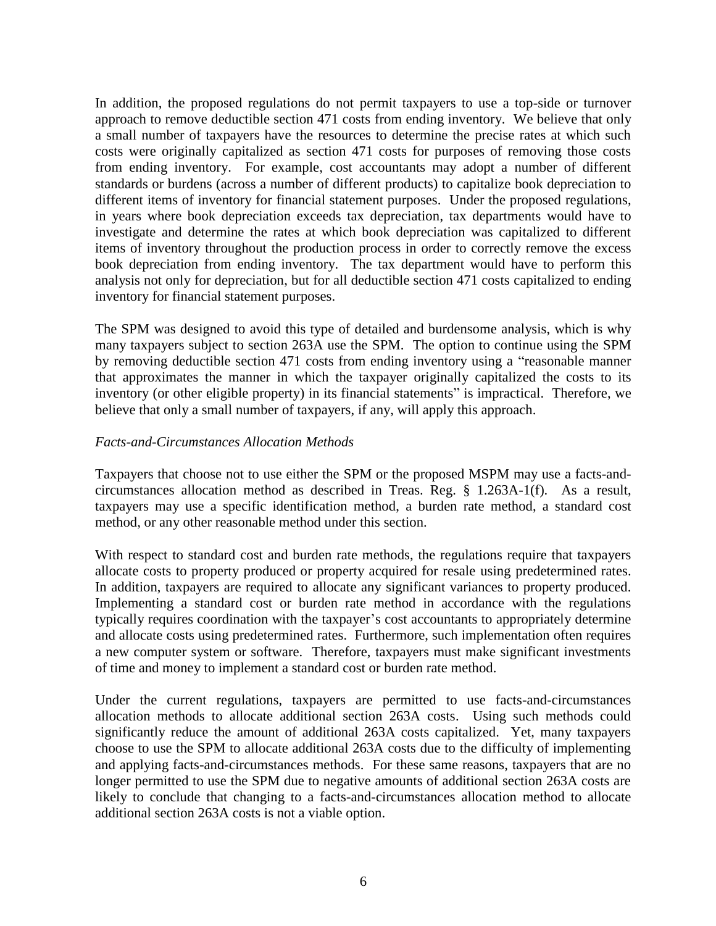In addition, the proposed regulations do not permit taxpayers to use a top-side or turnover approach to remove deductible section 471 costs from ending inventory. We believe that only a small number of taxpayers have the resources to determine the precise rates at which such costs were originally capitalized as section 471 costs for purposes of removing those costs from ending inventory. For example, cost accountants may adopt a number of different standards or burdens (across a number of different products) to capitalize book depreciation to different items of inventory for financial statement purposes. Under the proposed regulations, in years where book depreciation exceeds tax depreciation, tax departments would have to investigate and determine the rates at which book depreciation was capitalized to different items of inventory throughout the production process in order to correctly remove the excess book depreciation from ending inventory. The tax department would have to perform this analysis not only for depreciation, but for all deductible section 471 costs capitalized to ending inventory for financial statement purposes.

The SPM was designed to avoid this type of detailed and burdensome analysis, which is why many taxpayers subject to section 263A use the SPM. The option to continue using the SPM by removing deductible section 471 costs from ending inventory using a "reasonable manner that approximates the manner in which the taxpayer originally capitalized the costs to its inventory (or other eligible property) in its financial statements" is impractical. Therefore, we believe that only a small number of taxpayers, if any, will apply this approach.

### *Facts-and-Circumstances Allocation Methods*

Taxpayers that choose not to use either the SPM or the proposed MSPM may use a facts-andcircumstances allocation method as described in Treas. Reg. § 1.263A-1(f). As a result, taxpayers may use a specific identification method, a burden rate method, a standard cost method, or any other reasonable method under this section.

With respect to standard cost and burden rate methods, the regulations require that taxpayers allocate costs to property produced or property acquired for resale using predetermined rates. In addition, taxpayers are required to allocate any significant variances to property produced. Implementing a standard cost or burden rate method in accordance with the regulations typically requires coordination with the taxpayer's cost accountants to appropriately determine and allocate costs using predetermined rates. Furthermore, such implementation often requires a new computer system or software. Therefore, taxpayers must make significant investments of time and money to implement a standard cost or burden rate method.

Under the current regulations, taxpayers are permitted to use facts-and-circumstances allocation methods to allocate additional section 263A costs. Using such methods could significantly reduce the amount of additional 263A costs capitalized. Yet, many taxpayers choose to use the SPM to allocate additional 263A costs due to the difficulty of implementing and applying facts-and-circumstances methods. For these same reasons, taxpayers that are no longer permitted to use the SPM due to negative amounts of additional section 263A costs are likely to conclude that changing to a facts-and-circumstances allocation method to allocate additional section 263A costs is not a viable option.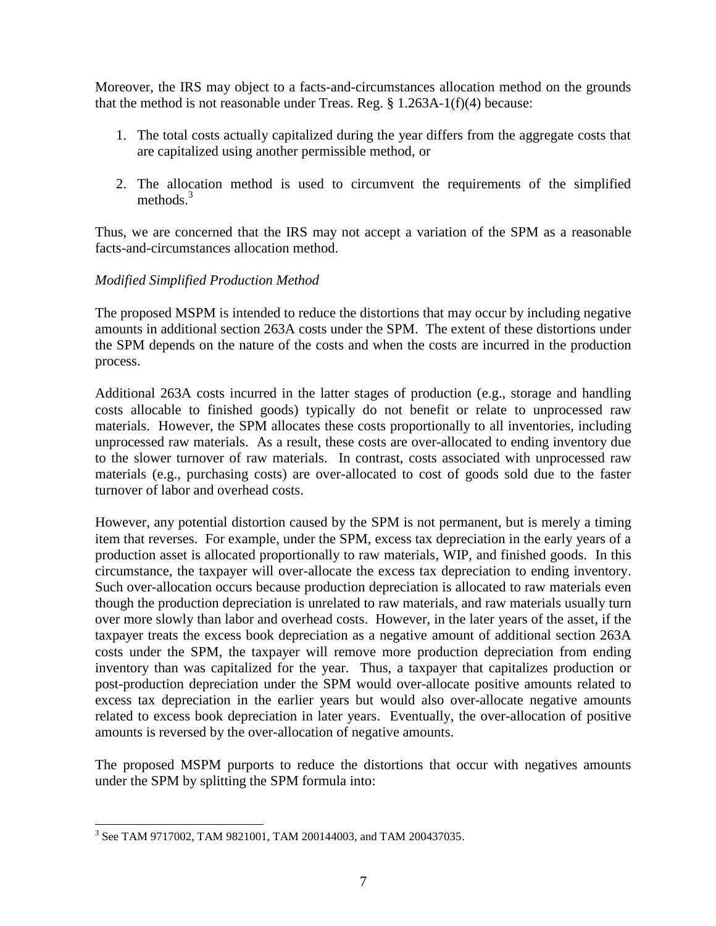Moreover, the IRS may object to a facts-and-circumstances allocation method on the grounds that the method is not reasonable under Treas. Reg. § 1.263A-1(f)(4) because:

- 1. The total costs actually capitalized during the year differs from the aggregate costs that are capitalized using another permissible method, or
- 2. The allocation method is used to circumvent the requirements of the simplified methods. $3$

Thus, we are concerned that the IRS may not accept a variation of the SPM as a reasonable facts-and-circumstances allocation method.

# *Modified Simplified Production Method*

The proposed MSPM is intended to reduce the distortions that may occur by including negative amounts in additional section 263A costs under the SPM. The extent of these distortions under the SPM depends on the nature of the costs and when the costs are incurred in the production process.

Additional 263A costs incurred in the latter stages of production (e.g., storage and handling costs allocable to finished goods) typically do not benefit or relate to unprocessed raw materials. However, the SPM allocates these costs proportionally to all inventories, including unprocessed raw materials. As a result, these costs are over-allocated to ending inventory due to the slower turnover of raw materials. In contrast, costs associated with unprocessed raw materials (e.g., purchasing costs) are over-allocated to cost of goods sold due to the faster turnover of labor and overhead costs.

However, any potential distortion caused by the SPM is not permanent, but is merely a timing item that reverses. For example, under the SPM, excess tax depreciation in the early years of a production asset is allocated proportionally to raw materials, WIP, and finished goods. In this circumstance, the taxpayer will over-allocate the excess tax depreciation to ending inventory. Such over-allocation occurs because production depreciation is allocated to raw materials even though the production depreciation is unrelated to raw materials, and raw materials usually turn over more slowly than labor and overhead costs. However, in the later years of the asset, if the taxpayer treats the excess book depreciation as a negative amount of additional section 263A costs under the SPM, the taxpayer will remove more production depreciation from ending inventory than was capitalized for the year. Thus, a taxpayer that capitalizes production or post-production depreciation under the SPM would over-allocate positive amounts related to excess tax depreciation in the earlier years but would also over-allocate negative amounts related to excess book depreciation in later years. Eventually, the over-allocation of positive amounts is reversed by the over-allocation of negative amounts.

The proposed MSPM purports to reduce the distortions that occur with negatives amounts under the SPM by splitting the SPM formula into:

 $\overline{a}$ 3 See TAM 9717002, TAM 9821001, TAM 200144003, and TAM 200437035.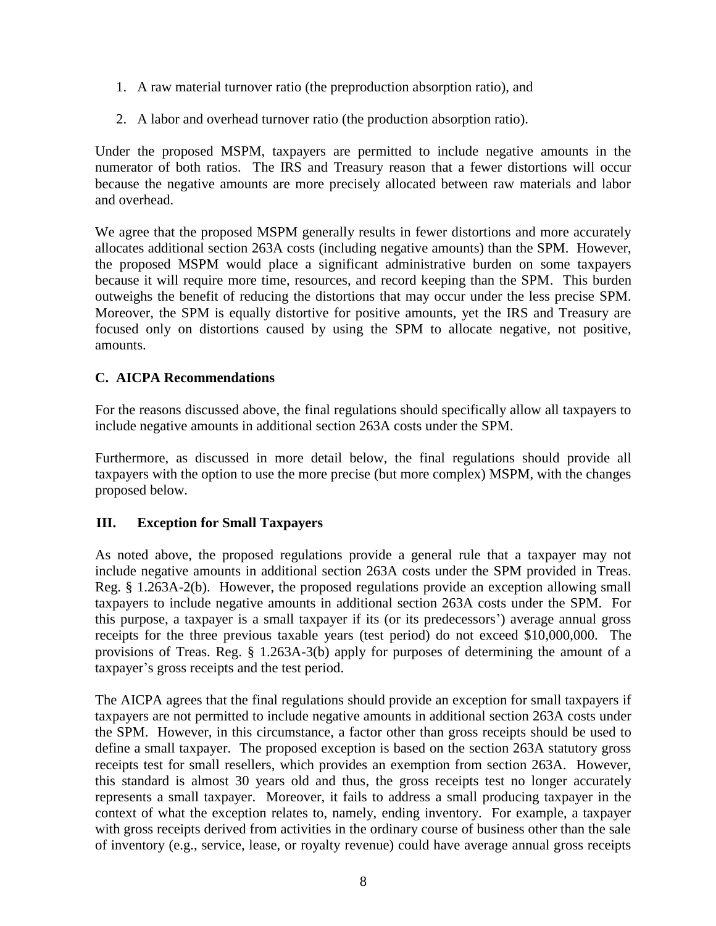- 1. A raw material turnover ratio (the preproduction absorption ratio), and
- 2. A labor and overhead turnover ratio (the production absorption ratio).

Under the proposed MSPM, taxpayers are permitted to include negative amounts in the numerator of both ratios. The IRS and Treasury reason that a fewer distortions will occur because the negative amounts are more precisely allocated between raw materials and labor and overhead.

We agree that the proposed MSPM generally results in fewer distortions and more accurately allocates additional section 263A costs (including negative amounts) than the SPM. However, the proposed MSPM would place a significant administrative burden on some taxpayers because it will require more time, resources, and record keeping than the SPM. This burden outweighs the benefit of reducing the distortions that may occur under the less precise SPM. Moreover, the SPM is equally distortive for positive amounts, yet the IRS and Treasury are focused only on distortions caused by using the SPM to allocate negative, not positive, amounts.

# **C. AICPA Recommendations**

For the reasons discussed above, the final regulations should specifically allow all taxpayers to include negative amounts in additional section 263A costs under the SPM.

Furthermore, as discussed in more detail below, the final regulations should provide all taxpayers with the option to use the more precise (but more complex) MSPM, with the changes proposed below.

# **III. Exception for Small Taxpayers**

As noted above, the proposed regulations provide a general rule that a taxpayer may not include negative amounts in additional section 263A costs under the SPM provided in Treas. Reg. § 1.263A-2(b). However, the proposed regulations provide an exception allowing small taxpayers to include negative amounts in additional section 263A costs under the SPM. For this purpose, a taxpayer is a small taxpayer if its (or its predecessors') average annual gross receipts for the three previous taxable years (test period) do not exceed \$10,000,000. The provisions of Treas. Reg. § 1.263A-3(b) apply for purposes of determining the amount of a taxpayer's gross receipts and the test period.

The AICPA agrees that the final regulations should provide an exception for small taxpayers if taxpayers are not permitted to include negative amounts in additional section 263A costs under the SPM. However, in this circumstance, a factor other than gross receipts should be used to define a small taxpayer. The proposed exception is based on the section 263A statutory gross receipts test for small resellers, which provides an exemption from section 263A. However, this standard is almost 30 years old and thus, the gross receipts test no longer accurately represents a small taxpayer. Moreover, it fails to address a small producing taxpayer in the context of what the exception relates to, namely, ending inventory. For example, a taxpayer with gross receipts derived from activities in the ordinary course of business other than the sale of inventory (e.g., service, lease, or royalty revenue) could have average annual gross receipts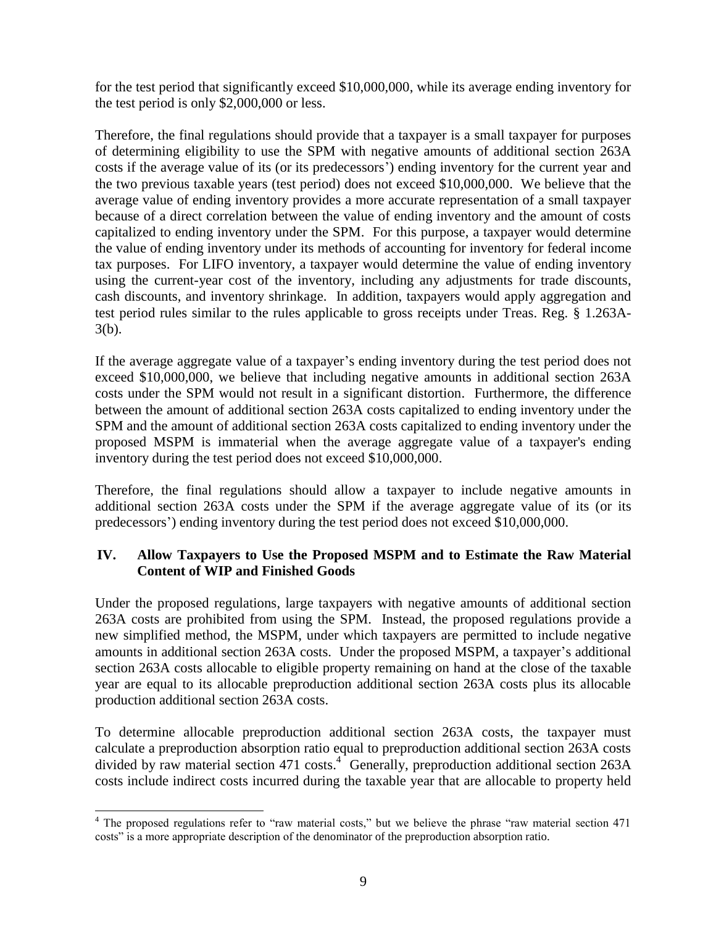for the test period that significantly exceed \$10,000,000, while its average ending inventory for the test period is only \$2,000,000 or less.

Therefore, the final regulations should provide that a taxpayer is a small taxpayer for purposes of determining eligibility to use the SPM with negative amounts of additional section 263A costs if the average value of its (or its predecessors') ending inventory for the current year and the two previous taxable years (test period) does not exceed \$10,000,000. We believe that the average value of ending inventory provides a more accurate representation of a small taxpayer because of a direct correlation between the value of ending inventory and the amount of costs capitalized to ending inventory under the SPM. For this purpose, a taxpayer would determine the value of ending inventory under its methods of accounting for inventory for federal income tax purposes. For LIFO inventory, a taxpayer would determine the value of ending inventory using the current-year cost of the inventory, including any adjustments for trade discounts, cash discounts, and inventory shrinkage. In addition, taxpayers would apply aggregation and test period rules similar to the rules applicable to gross receipts under Treas. Reg. § 1.263A-3(b).

If the average aggregate value of a taxpayer's ending inventory during the test period does not exceed \$10,000,000, we believe that including negative amounts in additional section 263A costs under the SPM would not result in a significant distortion. Furthermore, the difference between the amount of additional section 263A costs capitalized to ending inventory under the SPM and the amount of additional section 263A costs capitalized to ending inventory under the proposed MSPM is immaterial when the average aggregate value of a taxpayer's ending inventory during the test period does not exceed \$10,000,000.

Therefore, the final regulations should allow a taxpayer to include negative amounts in additional section 263A costs under the SPM if the average aggregate value of its (or its predecessors') ending inventory during the test period does not exceed \$10,000,000.

# **IV. Allow Taxpayers to Use the Proposed MSPM and to Estimate the Raw Material Content of WIP and Finished Goods**

Under the proposed regulations, large taxpayers with negative amounts of additional section 263A costs are prohibited from using the SPM. Instead, the proposed regulations provide a new simplified method, the MSPM, under which taxpayers are permitted to include negative amounts in additional section 263A costs. Under the proposed MSPM, a taxpayer's additional section 263A costs allocable to eligible property remaining on hand at the close of the taxable year are equal to its allocable preproduction additional section 263A costs plus its allocable production additional section 263A costs.

To determine allocable preproduction additional section 263A costs, the taxpayer must calculate a preproduction absorption ratio equal to preproduction additional section 263A costs divided by raw material section 471 costs. 4 Generally, preproduction additional section 263A costs include indirect costs incurred during the taxable year that are allocable to property held

 $\overline{a}$ <sup>4</sup> The proposed regulations refer to "raw material costs," but we believe the phrase "raw material section 471 costs" is a more appropriate description of the denominator of the preproduction absorption ratio.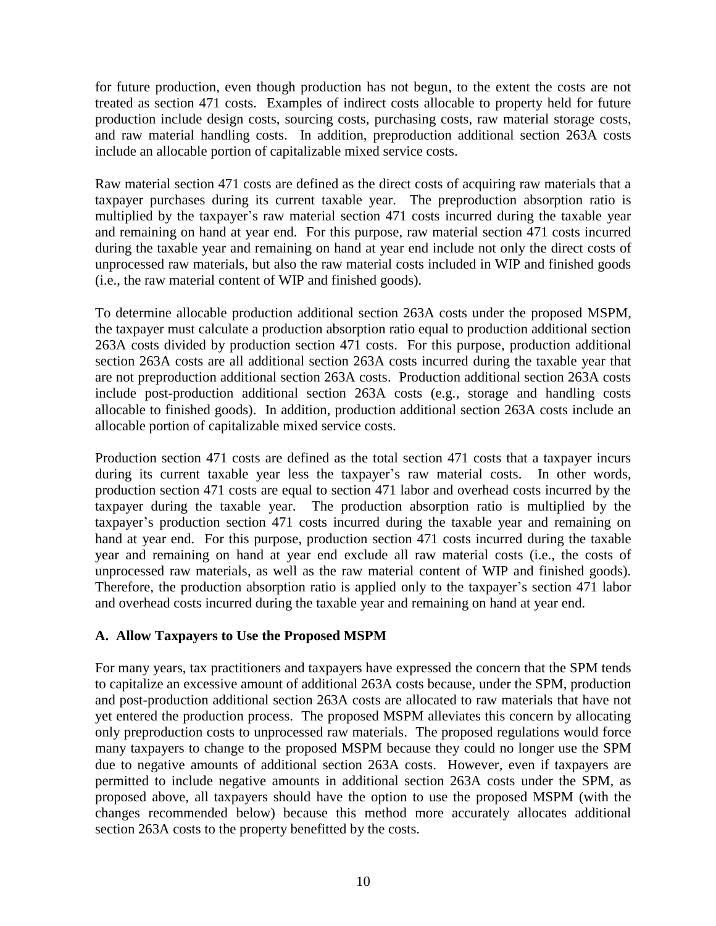for future production, even though production has not begun, to the extent the costs are not treated as section 471 costs. Examples of indirect costs allocable to property held for future production include design costs, sourcing costs, purchasing costs, raw material storage costs, and raw material handling costs. In addition, preproduction additional section 263A costs include an allocable portion of capitalizable mixed service costs.

Raw material section 471 costs are defined as the direct costs of acquiring raw materials that a taxpayer purchases during its current taxable year. The preproduction absorption ratio is multiplied by the taxpayer's raw material section 471 costs incurred during the taxable year and remaining on hand at year end. For this purpose, raw material section 471 costs incurred during the taxable year and remaining on hand at year end include not only the direct costs of unprocessed raw materials, but also the raw material costs included in WIP and finished goods (i.e., the raw material content of WIP and finished goods).

To determine allocable production additional section 263A costs under the proposed MSPM, the taxpayer must calculate a production absorption ratio equal to production additional section 263A costs divided by production section 471 costs. For this purpose, production additional section 263A costs are all additional section 263A costs incurred during the taxable year that are not preproduction additional section 263A costs. Production additional section 263A costs include post-production additional section 263A costs (e.g., storage and handling costs allocable to finished goods). In addition, production additional section 263A costs include an allocable portion of capitalizable mixed service costs.

Production section 471 costs are defined as the total section 471 costs that a taxpayer incurs during its current taxable year less the taxpayer's raw material costs. In other words, production section 471 costs are equal to section 471 labor and overhead costs incurred by the taxpayer during the taxable year. The production absorption ratio is multiplied by the taxpayer's production section 471 costs incurred during the taxable year and remaining on hand at year end. For this purpose, production section 471 costs incurred during the taxable year and remaining on hand at year end exclude all raw material costs (i.e., the costs of unprocessed raw materials, as well as the raw material content of WIP and finished goods). Therefore, the production absorption ratio is applied only to the taxpayer's section 471 labor and overhead costs incurred during the taxable year and remaining on hand at year end.

# **A. Allow Taxpayers to Use the Proposed MSPM**

For many years, tax practitioners and taxpayers have expressed the concern that the SPM tends to capitalize an excessive amount of additional 263A costs because, under the SPM, production and post-production additional section 263A costs are allocated to raw materials that have not yet entered the production process. The proposed MSPM alleviates this concern by allocating only preproduction costs to unprocessed raw materials. The proposed regulations would force many taxpayers to change to the proposed MSPM because they could no longer use the SPM due to negative amounts of additional section 263A costs. However, even if taxpayers are permitted to include negative amounts in additional section 263A costs under the SPM, as proposed above, all taxpayers should have the option to use the proposed MSPM (with the changes recommended below) because this method more accurately allocates additional section 263A costs to the property benefitted by the costs.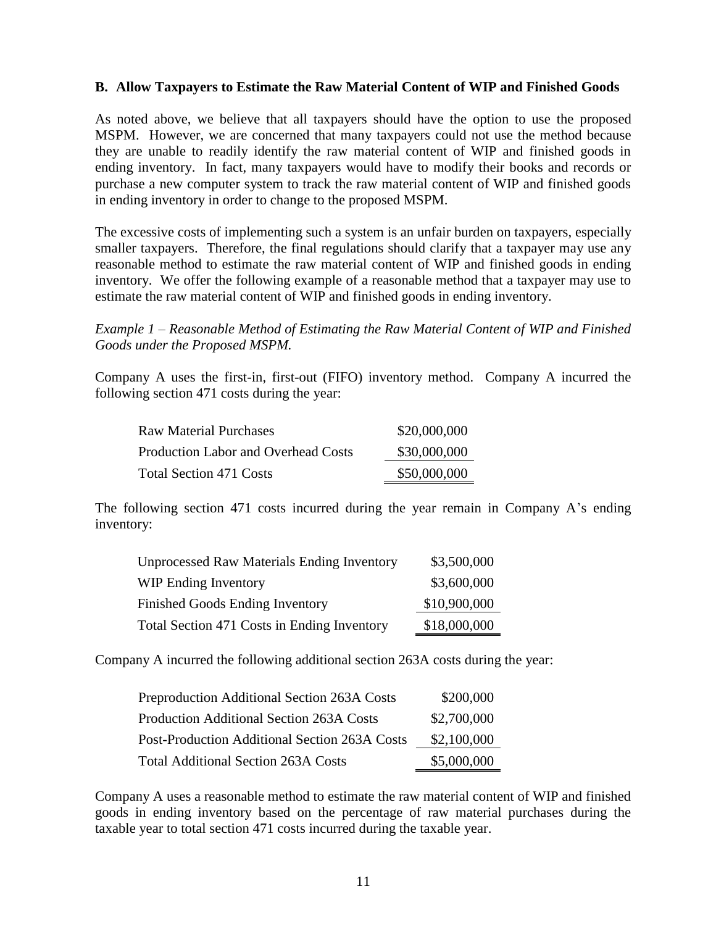### **B. Allow Taxpayers to Estimate the Raw Material Content of WIP and Finished Goods**

As noted above, we believe that all taxpayers should have the option to use the proposed MSPM. However, we are concerned that many taxpayers could not use the method because they are unable to readily identify the raw material content of WIP and finished goods in ending inventory. In fact, many taxpayers would have to modify their books and records or purchase a new computer system to track the raw material content of WIP and finished goods in ending inventory in order to change to the proposed MSPM.

The excessive costs of implementing such a system is an unfair burden on taxpayers, especially smaller taxpayers. Therefore, the final regulations should clarify that a taxpayer may use any reasonable method to estimate the raw material content of WIP and finished goods in ending inventory. We offer the following example of a reasonable method that a taxpayer may use to estimate the raw material content of WIP and finished goods in ending inventory.

### *Example 1 – Reasonable Method of Estimating the Raw Material Content of WIP and Finished Goods under the Proposed MSPM.*

Company A uses the first-in, first-out (FIFO) inventory method. Company A incurred the following section 471 costs during the year:

| <b>Raw Material Purchases</b>       | \$20,000,000 |
|-------------------------------------|--------------|
| Production Labor and Overhead Costs | \$30,000,000 |
| <b>Total Section 471 Costs</b>      | \$50,000,000 |

The following section 471 costs incurred during the year remain in Company A's ending inventory:

| <b>Unprocessed Raw Materials Ending Inventory</b> | \$3,500,000  |
|---------------------------------------------------|--------------|
| <b>WIP Ending Inventory</b>                       | \$3,600,000  |
| Finished Goods Ending Inventory                   | \$10,900,000 |
| Total Section 471 Costs in Ending Inventory       | \$18,000,000 |

Company A incurred the following additional section 263A costs during the year:

| Preproduction Additional Section 263A Costs     | \$200,000   |
|-------------------------------------------------|-------------|
| <b>Production Additional Section 263A Costs</b> | \$2,700,000 |
| Post-Production Additional Section 263A Costs   | \$2,100,000 |
| <b>Total Additional Section 263A Costs</b>      | \$5,000,000 |

Company A uses a reasonable method to estimate the raw material content of WIP and finished goods in ending inventory based on the percentage of raw material purchases during the taxable year to total section 471 costs incurred during the taxable year.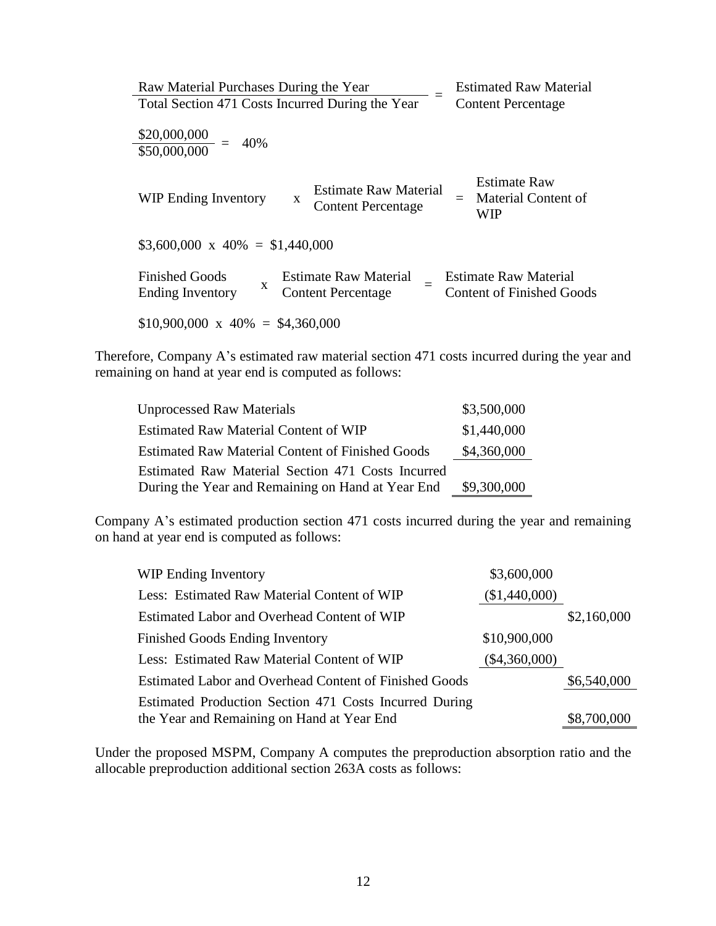| Raw Material Purchases During the Year     |                                                  | <b>Estimated Raw Material</b>    |
|--------------------------------------------|--------------------------------------------------|----------------------------------|
|                                            | Total Section 471 Costs Incurred During the Year | <b>Content Percentage</b>        |
|                                            |                                                  |                                  |
| $\frac{$20,000,000}{$50,000,000} =$<br>40% |                                                  |                                  |
|                                            |                                                  |                                  |
|                                            |                                                  | <b>Estimate Raw</b>              |
|                                            | <b>Estimate Raw Material</b>                     | Material Content of              |
| <b>WIP Ending Inventory</b>                | X<br><b>Content Percentage</b>                   | <b>WIP</b>                       |
|                                            |                                                  |                                  |
| $$3,600,000 \times 40\% = $1,440,000$      |                                                  |                                  |
|                                            |                                                  |                                  |
| <b>Finished Goods</b>                      | <b>Estimate Raw Material</b>                     | <b>Estimate Raw Material</b>     |
| X<br><b>Ending Inventory</b>               | <b>Content Percentage</b>                        | <b>Content of Finished Goods</b> |
|                                            |                                                  |                                  |
| $$10,900,000 \times 40\% = $4,360,000$     |                                                  |                                  |

Therefore, Company A's estimated raw material section 471 costs incurred during the year and remaining on hand at year end is computed as follows:

| <b>Unprocessed Raw Materials</b>                        | \$3,500,000 |
|---------------------------------------------------------|-------------|
| <b>Estimated Raw Material Content of WIP</b>            | \$1,440,000 |
| <b>Estimated Raw Material Content of Finished Goods</b> | \$4,360,000 |
| Estimated Raw Material Section 471 Costs Incurred       |             |
| During the Year and Remaining on Hand at Year End       | \$9,300,000 |

Company A's estimated production section 471 costs incurred during the year and remaining on hand at year end is computed as follows:

| <b>WIP Ending Inventory</b>                            | \$3,600,000     |             |
|--------------------------------------------------------|-----------------|-------------|
| Less: Estimated Raw Material Content of WIP            | (\$1,440,000)   |             |
| Estimated Labor and Overhead Content of WIP            |                 | \$2,160,000 |
| <b>Finished Goods Ending Inventory</b>                 | \$10,900,000    |             |
| Less: Estimated Raw Material Content of WIP            | $(\$4,360,000)$ |             |
| Estimated Labor and Overhead Content of Finished Goods |                 | \$6,540,000 |
| Estimated Production Section 471 Costs Incurred During |                 |             |
| the Year and Remaining on Hand at Year End             |                 | \$8,700,000 |

Under the proposed MSPM, Company A computes the preproduction absorption ratio and the allocable preproduction additional section 263A costs as follows: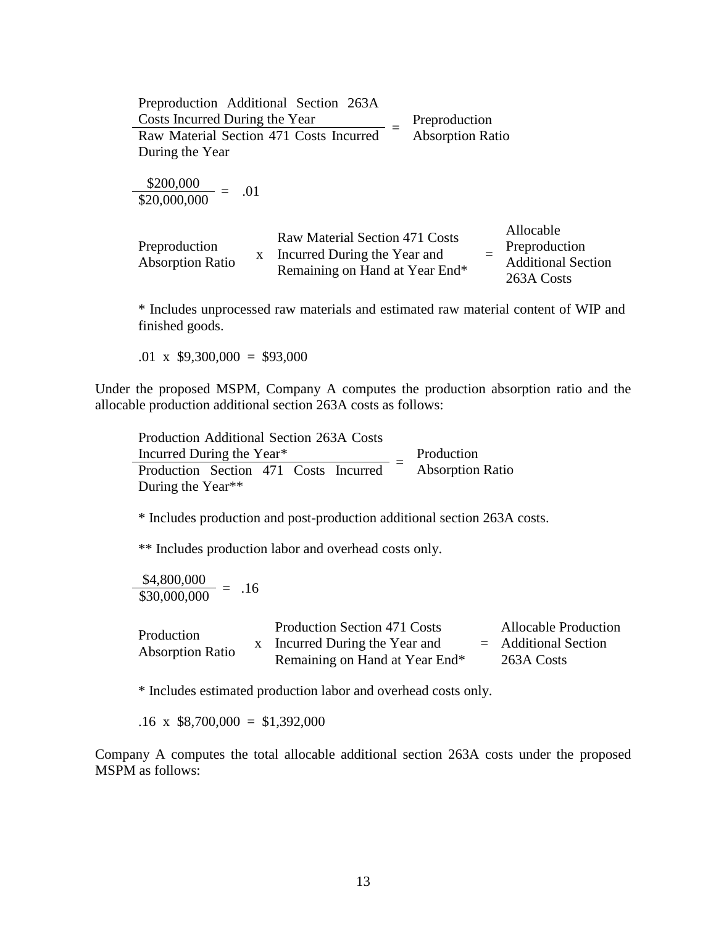| Preproduction Additional Section 263A                    |                                                                                                  |                         |                                                                       |
|----------------------------------------------------------|--------------------------------------------------------------------------------------------------|-------------------------|-----------------------------------------------------------------------|
| Costs Incurred During the Year                           |                                                                                                  | Preproduction           |                                                                       |
| Raw Material Section 471 Costs Incurred                  |                                                                                                  | <b>Absorption Ratio</b> |                                                                       |
| During the Year                                          |                                                                                                  |                         |                                                                       |
| $\frac{$200,000}{$20,000,000} = .01$                     |                                                                                                  |                         |                                                                       |
| Preproduction<br>$\mathbf{X}$<br><b>Absorption Ratio</b> | Raw Material Section 471 Costs<br>Incurred During the Year and<br>Remaining on Hand at Year End* |                         | Allocable<br>Preproduction<br><b>Additional Section</b><br>263A Costs |

\* Includes unprocessed raw materials and estimated raw material content of WIP and finished goods.

.01 x  $$9,300,000 = $93,000$ 

Under the proposed MSPM, Company A computes the production absorption ratio and the allocable production additional section 263A costs as follows:

Production Additional Section 263A Costs Incurred During the Year\*  $\frac{\text{meaned Buring the Team}}{\text{Production}} = \frac{\text{Production}}{\text{Absorption Ratio}}$ Production During the Year\*\*

\* Includes production and post-production additional section 263A costs.

\*\* Includes production labor and overhead costs only.

 $\frac{$4,800,000}{$30,000,000} = .16$ 

| Production              |                                | Production Section 471 Costs | <b>Allocable Production</b> |
|-------------------------|--------------------------------|------------------------------|-----------------------------|
|                         |                                | Incurred During the Year and | $=$ Additional Section      |
| <b>Absorption Ratio</b> | Remaining on Hand at Year End* | 263A Costs                   |                             |

\* Includes estimated production labor and overhead costs only.

 $.16 \times$  \$8,700,000 = \$1,392,000

Company A computes the total allocable additional section 263A costs under the proposed MSPM as follows: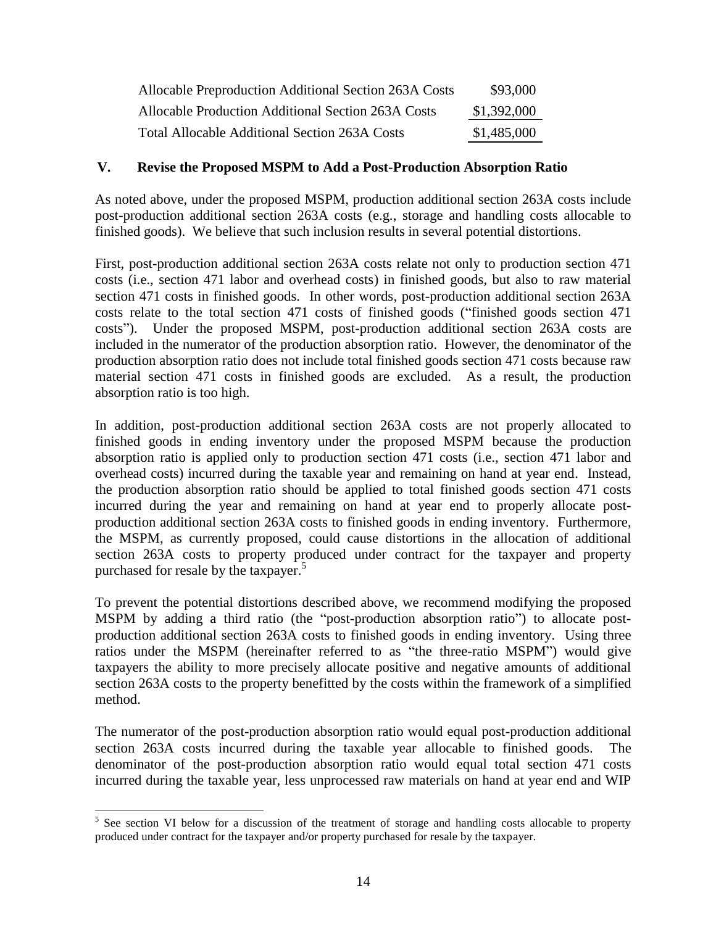| Allocable Preproduction Additional Section 263A Costs | \$93,000    |
|-------------------------------------------------------|-------------|
| Allocable Production Additional Section 263A Costs    | \$1,392,000 |
| <b>Total Allocable Additional Section 263A Costs</b>  | \$1,485,000 |

#### **V. Revise the Proposed MSPM to Add a Post-Production Absorption Ratio**

As noted above, under the proposed MSPM, production additional section 263A costs include post-production additional section 263A costs (e.g., storage and handling costs allocable to finished goods). We believe that such inclusion results in several potential distortions.

First, post-production additional section 263A costs relate not only to production section 471 costs (i.e., section 471 labor and overhead costs) in finished goods, but also to raw material section 471 costs in finished goods. In other words, post-production additional section 263A costs relate to the total section 471 costs of finished goods ("finished goods section 471 costs"). Under the proposed MSPM, post-production additional section 263A costs are included in the numerator of the production absorption ratio. However, the denominator of the production absorption ratio does not include total finished goods section 471 costs because raw material section 471 costs in finished goods are excluded. As a result, the production absorption ratio is too high.

In addition, post-production additional section 263A costs are not properly allocated to finished goods in ending inventory under the proposed MSPM because the production absorption ratio is applied only to production section 471 costs (i.e., section 471 labor and overhead costs) incurred during the taxable year and remaining on hand at year end. Instead, the production absorption ratio should be applied to total finished goods section 471 costs incurred during the year and remaining on hand at year end to properly allocate postproduction additional section 263A costs to finished goods in ending inventory. Furthermore, the MSPM, as currently proposed, could cause distortions in the allocation of additional section 263A costs to property produced under contract for the taxpayer and property purchased for resale by the taxpayer. 5

To prevent the potential distortions described above, we recommend modifying the proposed MSPM by adding a third ratio (the "post-production absorption ratio") to allocate postproduction additional section 263A costs to finished goods in ending inventory. Using three ratios under the MSPM (hereinafter referred to as "the three-ratio MSPM") would give taxpayers the ability to more precisely allocate positive and negative amounts of additional section 263A costs to the property benefitted by the costs within the framework of a simplified method.

The numerator of the post-production absorption ratio would equal post-production additional section 263A costs incurred during the taxable year allocable to finished goods. The denominator of the post-production absorption ratio would equal total section 471 costs incurred during the taxable year, less unprocessed raw materials on hand at year end and WIP

 $\overline{a}$ 

<sup>&</sup>lt;sup>5</sup> See section VI below for a discussion of the treatment of storage and handling costs allocable to property produced under contract for the taxpayer and/or property purchased for resale by the taxpayer.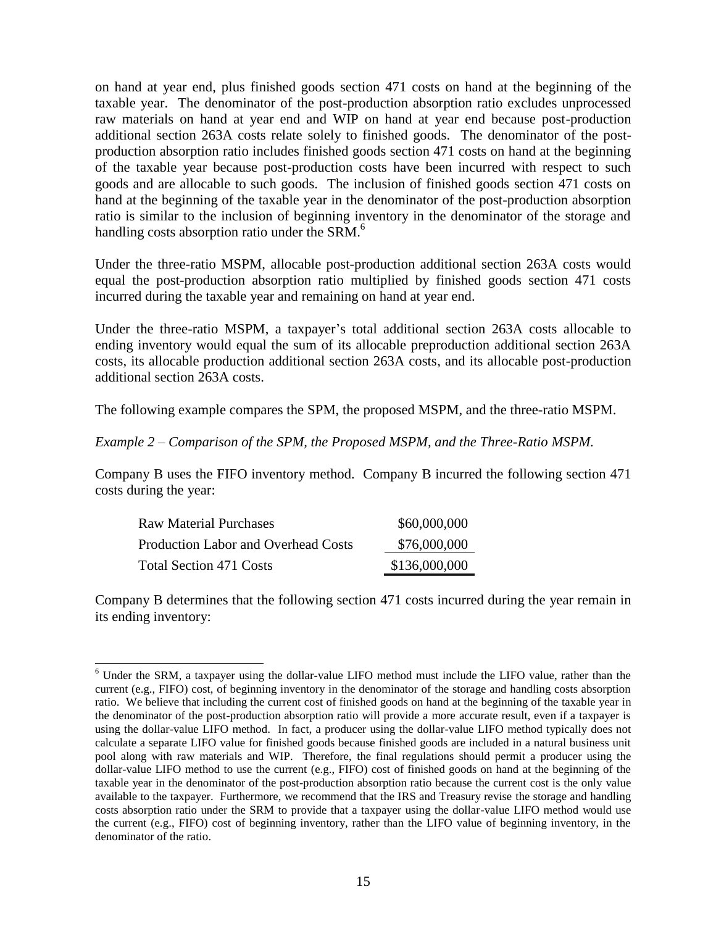on hand at year end, plus finished goods section 471 costs on hand at the beginning of the taxable year. The denominator of the post-production absorption ratio excludes unprocessed raw materials on hand at year end and WIP on hand at year end because post-production additional section 263A costs relate solely to finished goods. The denominator of the postproduction absorption ratio includes finished goods section 471 costs on hand at the beginning of the taxable year because post-production costs have been incurred with respect to such goods and are allocable to such goods. The inclusion of finished goods section 471 costs on hand at the beginning of the taxable year in the denominator of the post-production absorption ratio is similar to the inclusion of beginning inventory in the denominator of the storage and handling costs absorption ratio under the SRM.<sup>6</sup>

Under the three-ratio MSPM, allocable post-production additional section 263A costs would equal the post-production absorption ratio multiplied by finished goods section 471 costs incurred during the taxable year and remaining on hand at year end.

Under the three-ratio MSPM, a taxpayer's total additional section 263A costs allocable to ending inventory would equal the sum of its allocable preproduction additional section 263A costs, its allocable production additional section 263A costs, and its allocable post-production additional section 263A costs.

The following example compares the SPM, the proposed MSPM, and the three-ratio MSPM.

### *Example 2 – Comparison of the SPM, the Proposed MSPM, and the Three-Ratio MSPM.*

Company B uses the FIFO inventory method. Company B incurred the following section 471 costs during the year:

| Raw Material Purchases              | \$60,000,000  |
|-------------------------------------|---------------|
| Production Labor and Overhead Costs | \$76,000,000  |
| Total Section 471 Costs             | \$136,000,000 |

 $\overline{a}$ 

Company B determines that the following section 471 costs incurred during the year remain in its ending inventory:

<sup>6</sup> Under the SRM, a taxpayer using the dollar-value LIFO method must include the LIFO value, rather than the current (e.g., FIFO) cost, of beginning inventory in the denominator of the storage and handling costs absorption ratio. We believe that including the current cost of finished goods on hand at the beginning of the taxable year in the denominator of the post-production absorption ratio will provide a more accurate result, even if a taxpayer is using the dollar-value LIFO method. In fact, a producer using the dollar-value LIFO method typically does not calculate a separate LIFO value for finished goods because finished goods are included in a natural business unit pool along with raw materials and WIP. Therefore, the final regulations should permit a producer using the dollar-value LIFO method to use the current (e.g., FIFO) cost of finished goods on hand at the beginning of the taxable year in the denominator of the post-production absorption ratio because the current cost is the only value available to the taxpayer. Furthermore, we recommend that the IRS and Treasury revise the storage and handling costs absorption ratio under the SRM to provide that a taxpayer using the dollar-value LIFO method would use the current (e.g., FIFO) cost of beginning inventory, rather than the LIFO value of beginning inventory, in the denominator of the ratio.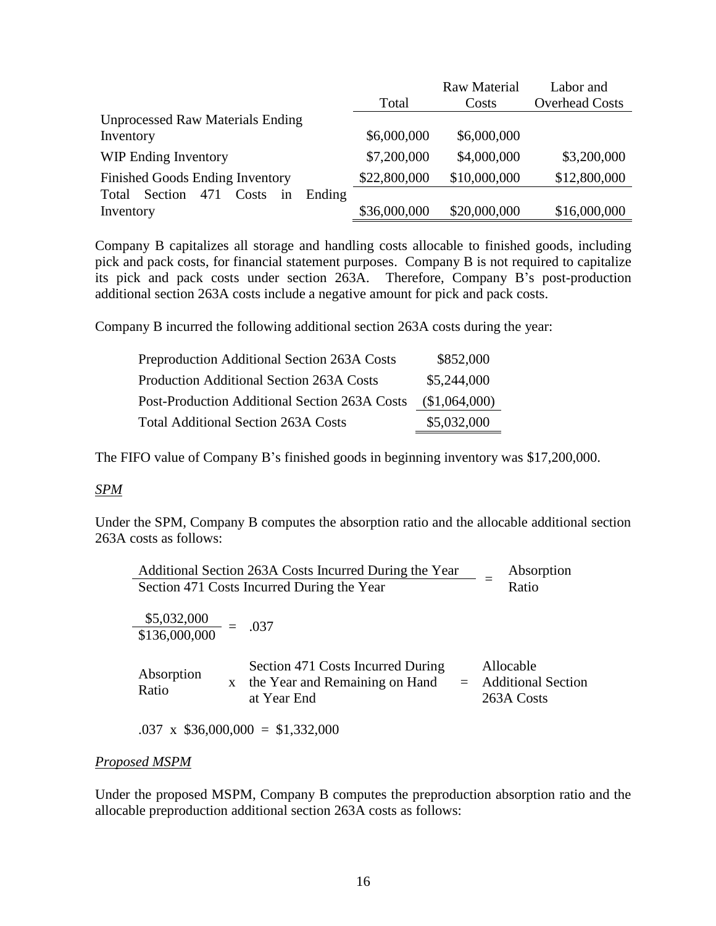|                                                  |              | <b>Raw Material</b> | Labor and             |
|--------------------------------------------------|--------------|---------------------|-----------------------|
|                                                  | Total        | Costs               | <b>Overhead Costs</b> |
| <b>Unprocessed Raw Materials Ending</b>          |              |                     |                       |
| Inventory                                        | \$6,000,000  | \$6,000,000         |                       |
| <b>WIP Ending Inventory</b>                      | \$7,200,000  | \$4,000,000         | \$3,200,000           |
| <b>Finished Goods Ending Inventory</b>           | \$22,800,000 | \$10,000,000        | \$12,800,000          |
| Section<br>471<br>Costs<br>Ending<br>Total<br>in |              |                     |                       |
| Inventory                                        | \$36,000,000 | \$20,000,000        | \$16,000,000          |

Company B capitalizes all storage and handling costs allocable to finished goods, including pick and pack costs, for financial statement purposes. Company B is not required to capitalize its pick and pack costs under section 263A. Therefore, Company B's post-production additional section 263A costs include a negative amount for pick and pack costs.

Company B incurred the following additional section 263A costs during the year:

| <b>Preproduction Additional Section 263A Costs</b> | \$852,000     |
|----------------------------------------------------|---------------|
| <b>Production Additional Section 263A Costs</b>    | \$5,244,000   |
| Post-Production Additional Section 263A Costs      | (\$1,064,000) |
| <b>Total Additional Section 263A Costs</b>         | \$5,032,000   |

The FIFO value of Company B's finished goods in beginning inventory was \$17,200,000.

### *SPM*

Under the SPM, Company B computes the absorption ratio and the allocable additional section 263A costs as follows:

| Additional Section 263A Costs Incurred During the Year |                                                                                           | Absorption                                           |
|--------------------------------------------------------|-------------------------------------------------------------------------------------------|------------------------------------------------------|
| Section 471 Costs Incurred During the Year             | Ratio                                                                                     |                                                      |
| $\frac{$5,032,000}{$136,000,000} =$                    | .037                                                                                      |                                                      |
| Absorption<br>$\mathbf{X}$<br>Ratio                    | Section 471 Costs Incurred During<br>the Year and Remaining on Hand<br>$=$<br>at Year End | Allocable<br><b>Additional Section</b><br>263A Costs |
|                                                        | $.037 \times $36,000,000 = $1,332,000$                                                    |                                                      |

### *Proposed MSPM*

Under the proposed MSPM, Company B computes the preproduction absorption ratio and the allocable preproduction additional section 263A costs as follows: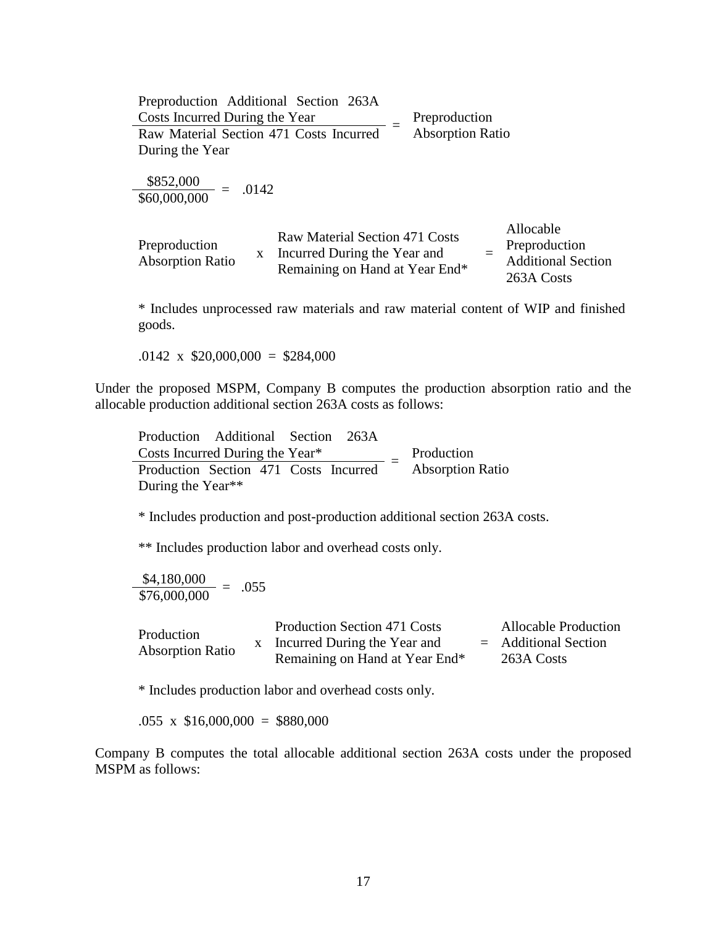| Preproduction Additional Section 263A                    |                                                                                                  |                                                                              |
|----------------------------------------------------------|--------------------------------------------------------------------------------------------------|------------------------------------------------------------------------------|
| Costs Incurred During the Year                           |                                                                                                  | Preproduction                                                                |
| Raw Material Section 471 Costs Incurred                  |                                                                                                  | <b>Absorption Ratio</b>                                                      |
| During the Year                                          |                                                                                                  |                                                                              |
| $\frac{$852,000}{$60,000,000} =$<br>.0142                |                                                                                                  |                                                                              |
| Preproduction<br>$\mathbf{x}$<br><b>Absorption Ratio</b> | Raw Material Section 471 Costs<br>Incurred During the Year and<br>Remaining on Hand at Year End* | Allocable<br>Preproduction<br>$=$<br><b>Additional Section</b><br>263A Costs |

\* Includes unprocessed raw materials and raw material content of WIP and finished goods.

 $.0142 \times $20,000,000 = $284,000$ 

Under the proposed MSPM, Company B computes the production absorption ratio and the allocable production additional section 263A costs as follows:

Production Additional Section 263A  $\frac{3}{2}$ Costs Incurred During the Year\*<br>Resolution Section 471 Costs Increased  $=$  Absorption Production Section 471 Costs Incurred <sup>-</sup> Absorption Ratio During the Year\*\*

\* Includes production and post-production additional section 263A costs.

\*\* Includes production labor and overhead costs only.

 $\frac{$4,180,000}{$76,000,000}$  = .055

| Production              | <b>Production Section 471 Costs</b> | <b>Allocable Production</b> |
|-------------------------|-------------------------------------|-----------------------------|
|                         | Incurred During the Year and        | $=$ Additional Section      |
| <b>Absorption Ratio</b> | Remaining on Hand at Year End*      | 263A Costs                  |

\* Includes production labor and overhead costs only.

 $.055 \times$  \$16,000,000 = \$880,000

Company B computes the total allocable additional section 263A costs under the proposed MSPM as follows: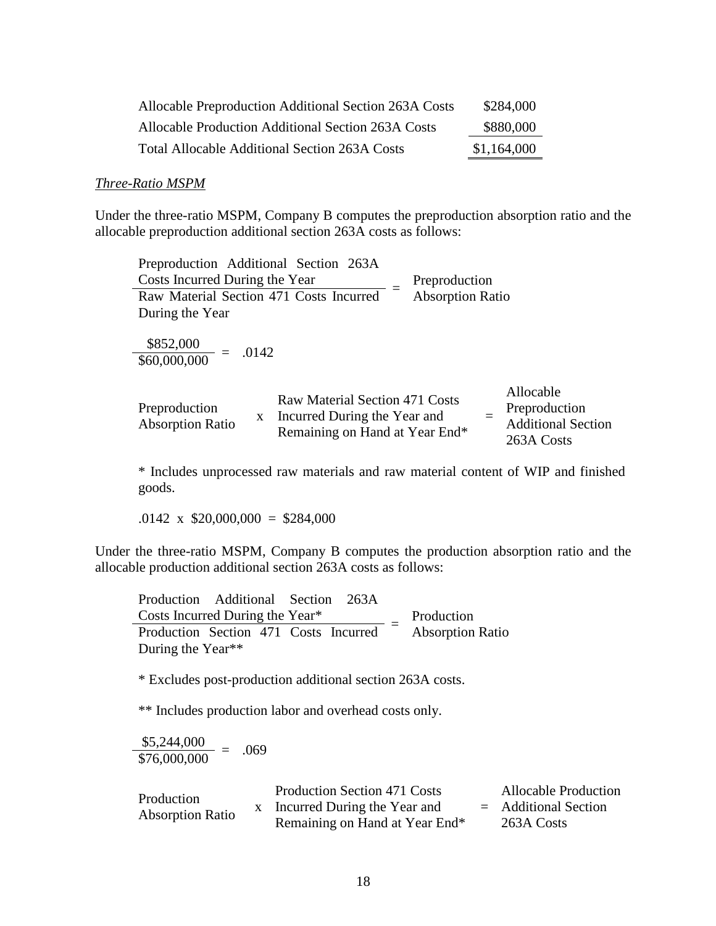| <b>Allocable Preproduction Additional Section 263A Costs</b> | \$284,000   |
|--------------------------------------------------------------|-------------|
| Allocable Production Additional Section 263A Costs           | \$880,000   |
| Total Allocable Additional Section 263A Costs                | \$1,164,000 |

#### *Three-Ratio MSPM*

Under the three-ratio MSPM, Company B computes the preproduction absorption ratio and the allocable preproduction additional section 263A costs as follows:

| Preproduction Additional Section 263A         |                                                                                                  |                         |                                                                       |
|-----------------------------------------------|--------------------------------------------------------------------------------------------------|-------------------------|-----------------------------------------------------------------------|
| Costs Incurred During the Year                |                                                                                                  | Preproduction           |                                                                       |
| Raw Material Section 471 Costs Incurred       |                                                                                                  | <b>Absorption Ratio</b> |                                                                       |
| During the Year                               |                                                                                                  |                         |                                                                       |
| $\frac{$852,000}{$60,000,000} = .0142$        |                                                                                                  |                         |                                                                       |
| Preproduction<br>X<br><b>Absorption Ratio</b> | Raw Material Section 471 Costs<br>Incurred During the Year and<br>Remaining on Hand at Year End* |                         | Allocable<br>Preproduction<br><b>Additional Section</b><br>263A Costs |

\* Includes unprocessed raw materials and raw material content of WIP and finished goods.

 $.0142 \times \$20,000,000 = \$284,000$ 

Under the three-ratio MSPM, Company B computes the production absorption ratio and the allocable production additional section 263A costs as follows:

Production Additional Section 263A Costs Incurred During the Year\*  $=$  Production Production Section 471 Costs Incurred <sup>-</sup> Absorption Ratio During the Year\*\*

\* Excludes post-production additional section 263A costs.

\*\* Includes production labor and overhead costs only.

| \$5,244,000  | .069 |
|--------------|------|
| \$76,000,000 |      |

| Production<br><b>Absorption Ratio</b> | <b>Production Section 471 Costs</b> | <b>Allocable Production</b> |
|---------------------------------------|-------------------------------------|-----------------------------|
|                                       | Incurred During the Year and        | $=$ Additional Section      |
|                                       | Remaining on Hand at Year End*      | 263A Costs                  |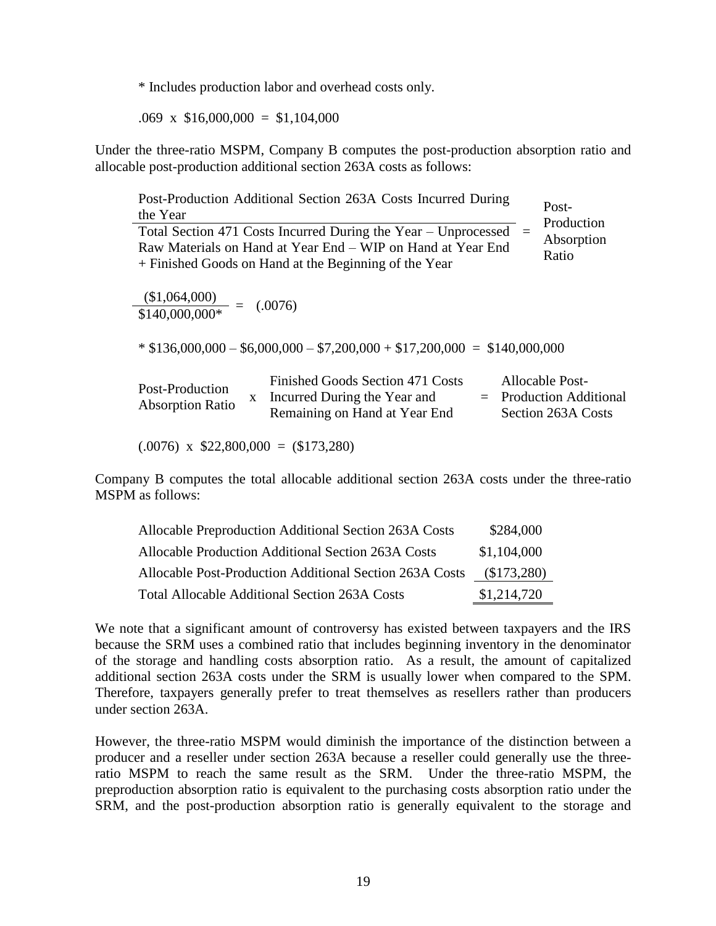\* Includes production labor and overhead costs only.

 $.069 \times \$16,000,000 = \$1,104,000$ 

Under the three-ratio MSPM, Company B computes the post-production absorption ratio and allocable post-production additional section 263A costs as follows:

| Post-Production Additional Section 263A Costs Incurred During<br>Post-<br>the Year                                                                                                                                          |  |
|-----------------------------------------------------------------------------------------------------------------------------------------------------------------------------------------------------------------------------|--|
| Production<br>Total Section 471 Costs Incurred During the Year – Unprocessed<br>Absorption<br>Raw Materials on Hand at Year End – WIP on Hand at Year End<br>Ratio<br>+ Finished Goods on Hand at the Beginning of the Year |  |
| $\frac{\textcircled{\text{1,064,000}}}{\textcircled{\text{140,000,000*}}} = (0.0076)$                                                                                                                                       |  |
| $*$ \$136,000,000 - \$6,000,000 - \$7,200,000 + \$17,200,000 = \$140,000,000                                                                                                                                                |  |
| Finished Goods Section 471 Costs<br>Allocable Post-<br>Post-Production<br>$=$ Production Additional<br>Incurred During the Year and<br>X<br><b>Absorption Ratio</b><br>Remaining on Hand at Year End<br>Section 263A Costs  |  |
| $(.0076)$ x \$22,800,000 = (\$173,280)                                                                                                                                                                                      |  |

Company B computes the total allocable additional section 263A costs under the three-ratio MSPM as follows:

| Allocable Preproduction Additional Section 263A Costs   | \$284,000   |
|---------------------------------------------------------|-------------|
| Allocable Production Additional Section 263A Costs      | \$1,104,000 |
| Allocable Post-Production Additional Section 263A Costs | (\$173,280) |
| <b>Total Allocable Additional Section 263A Costs</b>    | \$1,214,720 |

We note that a significant amount of controversy has existed between taxpayers and the IRS because the SRM uses a combined ratio that includes beginning inventory in the denominator of the storage and handling costs absorption ratio. As a result, the amount of capitalized additional section 263A costs under the SRM is usually lower when compared to the SPM. Therefore, taxpayers generally prefer to treat themselves as resellers rather than producers under section 263A.

However, the three-ratio MSPM would diminish the importance of the distinction between a producer and a reseller under section 263A because a reseller could generally use the threeratio MSPM to reach the same result as the SRM. Under the three-ratio MSPM, the preproduction absorption ratio is equivalent to the purchasing costs absorption ratio under the SRM, and the post-production absorption ratio is generally equivalent to the storage and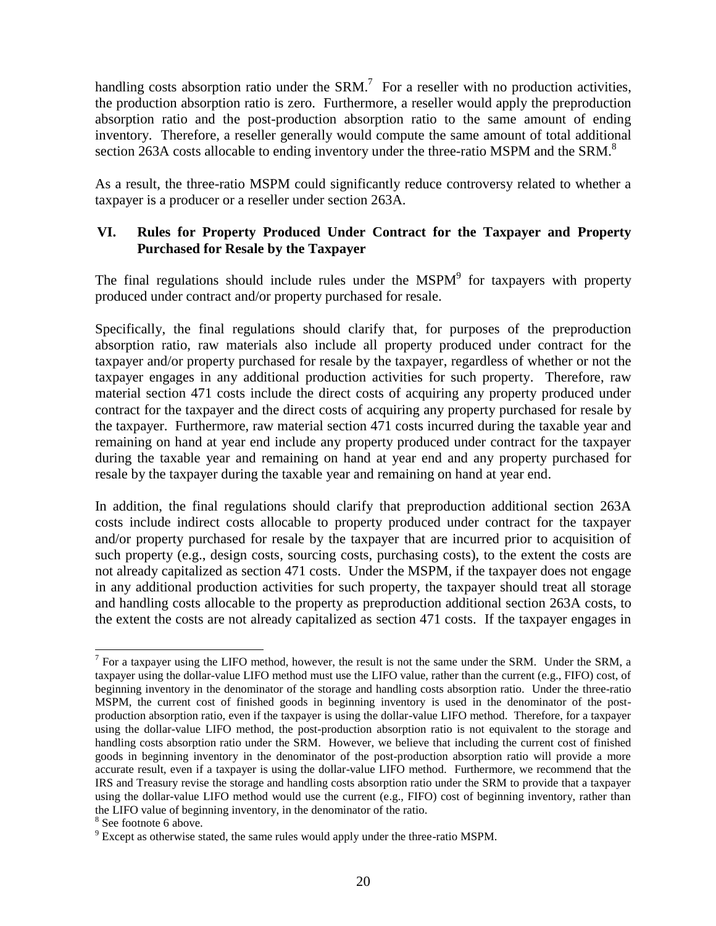handling costs absorption ratio under the SRM.<sup>7</sup> For a reseller with no production activities, the production absorption ratio is zero. Furthermore, a reseller would apply the preproduction absorption ratio and the post-production absorption ratio to the same amount of ending inventory. Therefore, a reseller generally would compute the same amount of total additional section 263A costs allocable to ending inventory under the three-ratio MSPM and the SRM.<sup>8</sup>

As a result, the three-ratio MSPM could significantly reduce controversy related to whether a taxpayer is a producer or a reseller under section 263A.

# **VI. Rules for Property Produced Under Contract for the Taxpayer and Property Purchased for Resale by the Taxpayer**

The final regulations should include rules under the  $MSPM<sup>9</sup>$  for taxpayers with property produced under contract and/or property purchased for resale.

Specifically, the final regulations should clarify that, for purposes of the preproduction absorption ratio, raw materials also include all property produced under contract for the taxpayer and/or property purchased for resale by the taxpayer, regardless of whether or not the taxpayer engages in any additional production activities for such property. Therefore, raw material section 471 costs include the direct costs of acquiring any property produced under contract for the taxpayer and the direct costs of acquiring any property purchased for resale by the taxpayer. Furthermore, raw material section 471 costs incurred during the taxable year and remaining on hand at year end include any property produced under contract for the taxpayer during the taxable year and remaining on hand at year end and any property purchased for resale by the taxpayer during the taxable year and remaining on hand at year end.

In addition, the final regulations should clarify that preproduction additional section 263A costs include indirect costs allocable to property produced under contract for the taxpayer and/or property purchased for resale by the taxpayer that are incurred prior to acquisition of such property (e.g., design costs, sourcing costs, purchasing costs), to the extent the costs are not already capitalized as section 471 costs. Under the MSPM, if the taxpayer does not engage in any additional production activities for such property, the taxpayer should treat all storage and handling costs allocable to the property as preproduction additional section 263A costs, to the extent the costs are not already capitalized as section 471 costs. If the taxpayer engages in

 $\overline{a}$ 

 $<sup>7</sup>$  For a taxpayer using the LIFO method, however, the result is not the same under the SRM. Under the SRM, a</sup> taxpayer using the dollar-value LIFO method must use the LIFO value, rather than the current (e.g., FIFO) cost, of beginning inventory in the denominator of the storage and handling costs absorption ratio. Under the three-ratio MSPM, the current cost of finished goods in beginning inventory is used in the denominator of the postproduction absorption ratio, even if the taxpayer is using the dollar-value LIFO method. Therefore, for a taxpayer using the dollar-value LIFO method, the post-production absorption ratio is not equivalent to the storage and handling costs absorption ratio under the SRM. However, we believe that including the current cost of finished goods in beginning inventory in the denominator of the post-production absorption ratio will provide a more accurate result, even if a taxpayer is using the dollar-value LIFO method. Furthermore, we recommend that the IRS and Treasury revise the storage and handling costs absorption ratio under the SRM to provide that a taxpayer using the dollar-value LIFO method would use the current (e.g., FIFO) cost of beginning inventory, rather than the LIFO value of beginning inventory, in the denominator of the ratio.

<sup>&</sup>lt;sup>8</sup> See footnote 6 above.

<sup>&</sup>lt;sup>9</sup> Except as otherwise stated, the same rules would apply under the three-ratio MSPM.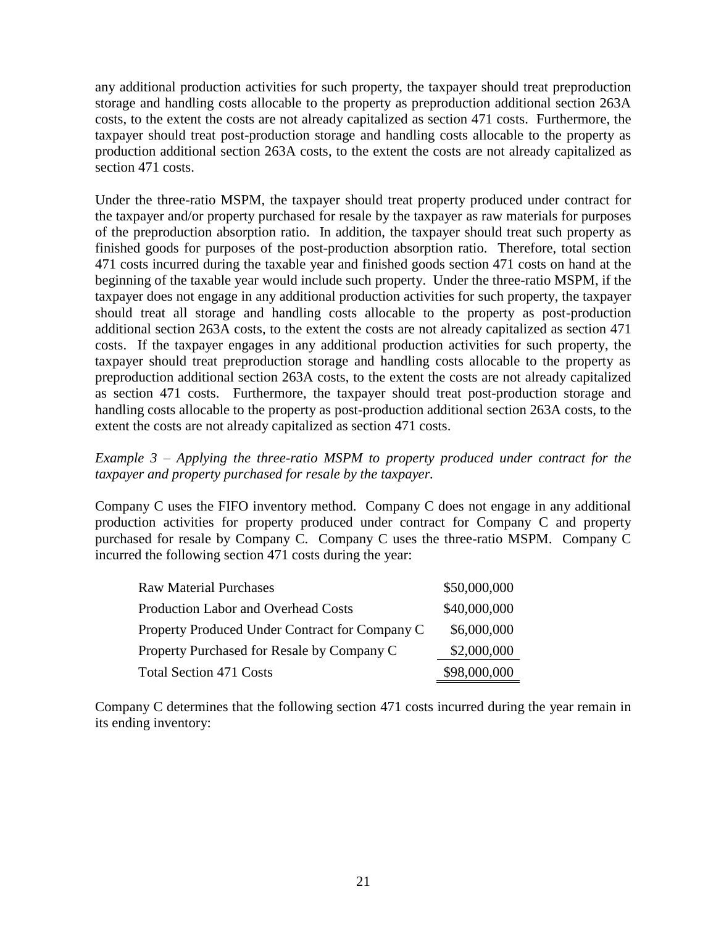any additional production activities for such property, the taxpayer should treat preproduction storage and handling costs allocable to the property as preproduction additional section 263A costs, to the extent the costs are not already capitalized as section 471 costs. Furthermore, the taxpayer should treat post-production storage and handling costs allocable to the property as production additional section 263A costs, to the extent the costs are not already capitalized as section 471 costs.

Under the three-ratio MSPM, the taxpayer should treat property produced under contract for the taxpayer and/or property purchased for resale by the taxpayer as raw materials for purposes of the preproduction absorption ratio. In addition, the taxpayer should treat such property as finished goods for purposes of the post-production absorption ratio. Therefore, total section 471 costs incurred during the taxable year and finished goods section 471 costs on hand at the beginning of the taxable year would include such property. Under the three-ratio MSPM, if the taxpayer does not engage in any additional production activities for such property, the taxpayer should treat all storage and handling costs allocable to the property as post-production additional section 263A costs, to the extent the costs are not already capitalized as section 471 costs. If the taxpayer engages in any additional production activities for such property, the taxpayer should treat preproduction storage and handling costs allocable to the property as preproduction additional section 263A costs, to the extent the costs are not already capitalized as section 471 costs. Furthermore, the taxpayer should treat post-production storage and handling costs allocable to the property as post-production additional section 263A costs, to the extent the costs are not already capitalized as section 471 costs.

### *Example 3 – Applying the three-ratio MSPM to property produced under contract for the taxpayer and property purchased for resale by the taxpayer.*

Company C uses the FIFO inventory method. Company C does not engage in any additional production activities for property produced under contract for Company C and property purchased for resale by Company C. Company C uses the three-ratio MSPM. Company C incurred the following section 471 costs during the year:

| <b>Raw Material Purchases</b>                  | \$50,000,000 |
|------------------------------------------------|--------------|
| <b>Production Labor and Overhead Costs</b>     | \$40,000,000 |
| Property Produced Under Contract for Company C | \$6,000,000  |
| Property Purchased for Resale by Company C     | \$2,000,000  |
| <b>Total Section 471 Costs</b>                 | \$98,000,000 |

Company C determines that the following section 471 costs incurred during the year remain in its ending inventory: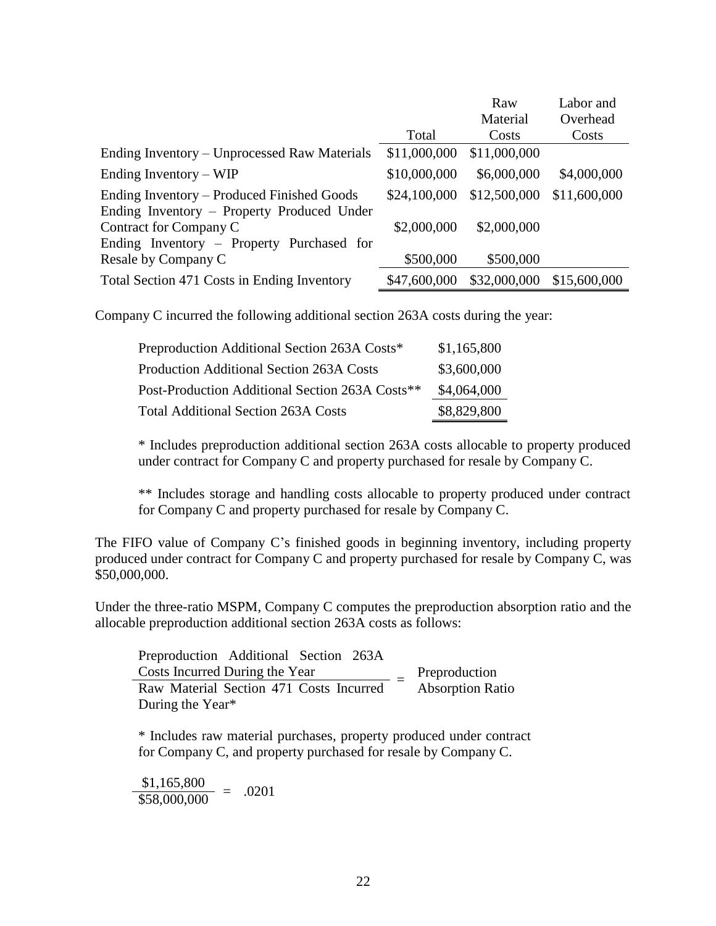|                                              |              | Raw          | Labor and    |
|----------------------------------------------|--------------|--------------|--------------|
|                                              |              | Material     | Overhead     |
|                                              | Total        | Costs        | Costs        |
| Ending Inventory – Unprocessed Raw Materials | \$11,000,000 | \$11,000,000 |              |
| Ending Inventory $-WIP$                      | \$10,000,000 | \$6,000,000  | \$4,000,000  |
| Ending Inventory – Produced Finished Goods   | \$24,100,000 | \$12,500,000 | \$11,600,000 |
| Ending Inventory – Property Produced Under   |              |              |              |
| Contract for Company C                       | \$2,000,000  | \$2,000,000  |              |
| Ending Inventory – Property Purchased for    |              |              |              |
| Resale by Company C                          | \$500,000    | \$500,000    |              |
| Total Section 471 Costs in Ending Inventory  | \$47,600,000 | \$32,000,000 | \$15,600,000 |

Company C incurred the following additional section 263A costs during the year:

| Preproduction Additional Section 263A Costs*    | \$1,165,800 |
|-------------------------------------------------|-------------|
| <b>Production Additional Section 263A Costs</b> | \$3,600,000 |
| Post-Production Additional Section 263A Costs** | \$4,064,000 |
| <b>Total Additional Section 263A Costs</b>      | \$8,829,800 |

\* Includes preproduction additional section 263A costs allocable to property produced under contract for Company C and property purchased for resale by Company C.

\*\* Includes storage and handling costs allocable to property produced under contract for Company C and property purchased for resale by Company C.

The FIFO value of Company C's finished goods in beginning inventory, including property produced under contract for Company C and property purchased for resale by Company C, was \$50,000,000.

Under the three-ratio MSPM, Company C computes the preproduction absorption ratio and the allocable preproduction additional section 263A costs as follows:

| Preproduction Additional Section 263A   |                         |
|-----------------------------------------|-------------------------|
| Costs Incurred During the Year          | Preproduction           |
| Raw Material Section 471 Costs Incurred | <b>Absorption Ratio</b> |
| During the Year*                        |                         |

\* Includes raw material purchases, property produced under contract for Company C, and property purchased for resale by Company C.

 $\frac{$1,165,800}{$58,000,000} = .0201$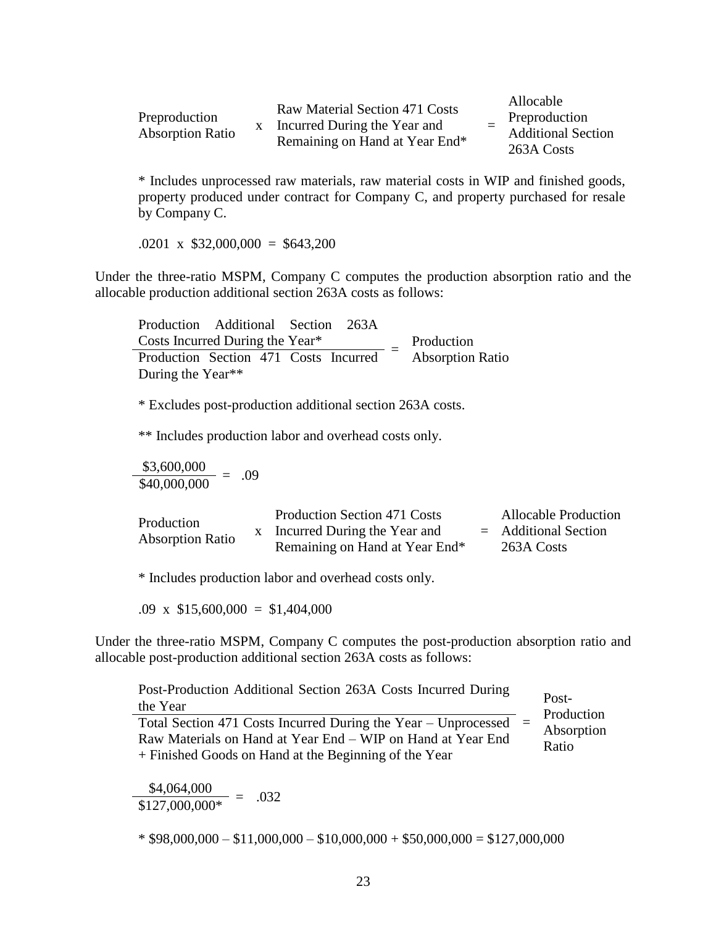| Preproduction<br><b>Absorption Ratio</b> |  | Raw Material Section 471 Costs<br>Incurred During the Year and<br>Remaining on Hand at Year End* |  | Allocable<br>Preproduction<br><b>Additional Section</b><br>263A Costs |
|------------------------------------------|--|--------------------------------------------------------------------------------------------------|--|-----------------------------------------------------------------------|
|------------------------------------------|--|--------------------------------------------------------------------------------------------------|--|-----------------------------------------------------------------------|

\* Includes unprocessed raw materials, raw material costs in WIP and finished goods, property produced under contract for Company C, and property purchased for resale by Company C.

 $.0201 \times $32,000,000 = $643,200$ 

Under the three-ratio MSPM, Company C computes the production absorption ratio and the allocable production additional section 263A costs as follows:

Production Additional Section 263A Costs Incurred During the Year\* = Production Production Section  $471$  Costs Incurred  $=$  Absorption Ratio During the Year\*\*

\* Excludes post-production additional section 263A costs.

\*\* Includes production labor and overhead costs only.

 $\frac{$3,600,000}{$40,000,000} = .09$ 

| Production<br><b>Absorption Ratio</b> | <b>Production Section 471 Costs</b> | <b>Allocable Production</b> |
|---------------------------------------|-------------------------------------|-----------------------------|
|                                       | x Incurred During the Year and      | $=$ Additional Section      |
|                                       | Remaining on Hand at Year End*      | 263A Costs                  |

\* Includes production labor and overhead costs only.

.09 x  $$15,600,000 = $1,404,000$ 

Under the three-ratio MSPM, Company C computes the post-production absorption ratio and allocable post-production additional section 263A costs as follows:

| Post-Production Additional Section 263A Costs Incurred During<br>the Year                                                                                                                  | Post-                             |
|--------------------------------------------------------------------------------------------------------------------------------------------------------------------------------------------|-----------------------------------|
| Total Section 471 Costs Incurred During the Year – Unprocessed $=$<br>Raw Materials on Hand at Year End - WIP on Hand at Year End<br>+ Finished Goods on Hand at the Beginning of the Year | Production<br>Absorption<br>Ratio |

 $\frac{$4,064,000}{$127,000,000^*} = .032$ 

 $*$  \$98,000,000 – \$11,000,000 – \$10,000,000 + \$50,000,000 = \$127,000,000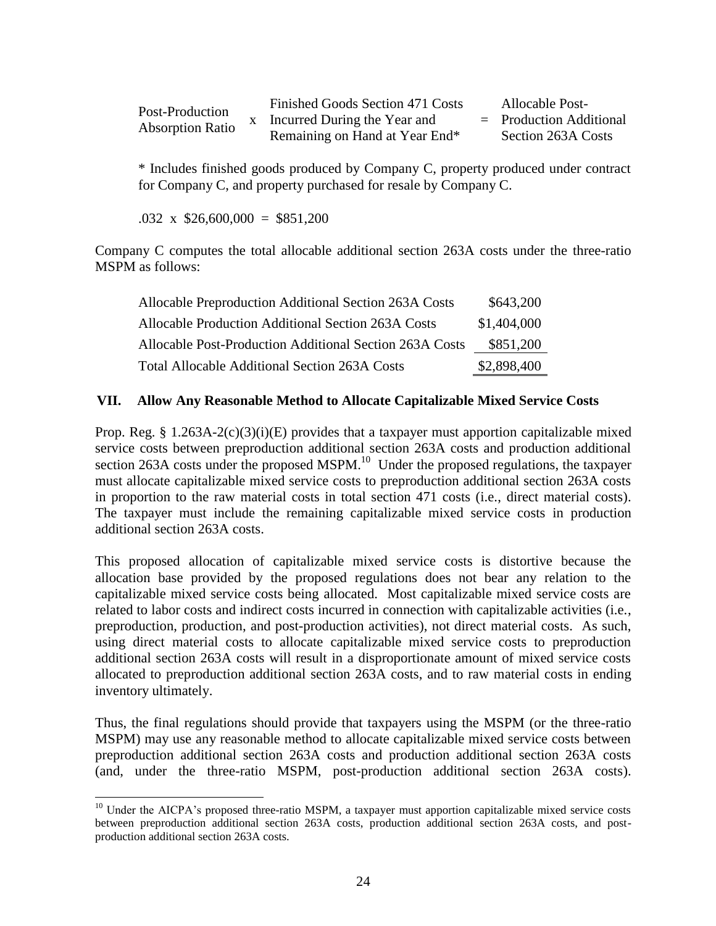| Post-Production<br><b>Absorption Ratio</b> | Finished Goods Section 471 Costs | Allocable Post-           |
|--------------------------------------------|----------------------------------|---------------------------|
|                                            | x Incurred During the Year and   | $=$ Production Additional |
|                                            | Remaining on Hand at Year End*   | Section 263A Costs        |

\* Includes finished goods produced by Company C, property produced under contract for Company C, and property purchased for resale by Company C.

 $.032 \times$  \$26,600,000 = \$851,200

Company C computes the total allocable additional section 263A costs under the three-ratio MSPM as follows:

| Allocable Preproduction Additional Section 263A Costs   | \$643,200   |
|---------------------------------------------------------|-------------|
| Allocable Production Additional Section 263A Costs      | \$1,404,000 |
| Allocable Post-Production Additional Section 263A Costs | \$851,200   |
| <b>Total Allocable Additional Section 263A Costs</b>    | \$2,898,400 |

# **VII. Allow Any Reasonable Method to Allocate Capitalizable Mixed Service Costs**

Prop. Reg. § 1.263A-2(c)(3)(i)(E) provides that a taxpayer must apportion capitalizable mixed service costs between preproduction additional section 263A costs and production additional section 263A costs under the proposed MSPM. $^{10}$  Under the proposed regulations, the taxpayer must allocate capitalizable mixed service costs to preproduction additional section 263A costs in proportion to the raw material costs in total section 471 costs (i.e., direct material costs). The taxpayer must include the remaining capitalizable mixed service costs in production additional section 263A costs.

This proposed allocation of capitalizable mixed service costs is distortive because the allocation base provided by the proposed regulations does not bear any relation to the capitalizable mixed service costs being allocated. Most capitalizable mixed service costs are related to labor costs and indirect costs incurred in connection with capitalizable activities (i.e., preproduction, production, and post-production activities), not direct material costs. As such, using direct material costs to allocate capitalizable mixed service costs to preproduction additional section 263A costs will result in a disproportionate amount of mixed service costs allocated to preproduction additional section 263A costs, and to raw material costs in ending inventory ultimately.

Thus, the final regulations should provide that taxpayers using the MSPM (or the three-ratio MSPM) may use any reasonable method to allocate capitalizable mixed service costs between preproduction additional section 263A costs and production additional section 263A costs (and, under the three-ratio MSPM, post-production additional section 263A costs).

 $\overline{a}$ <sup>10</sup> Under the AICPA's proposed three-ratio MSPM, a taxpayer must apportion capitalizable mixed service costs between preproduction additional section 263A costs, production additional section 263A costs, and postproduction additional section 263A costs.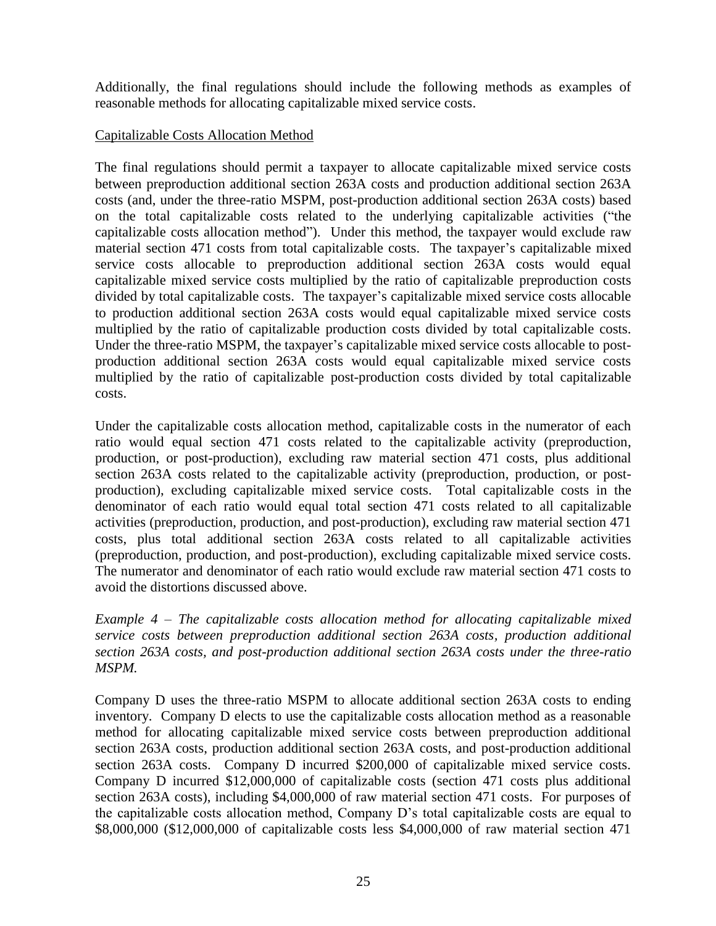Additionally, the final regulations should include the following methods as examples of reasonable methods for allocating capitalizable mixed service costs.

### Capitalizable Costs Allocation Method

The final regulations should permit a taxpayer to allocate capitalizable mixed service costs between preproduction additional section 263A costs and production additional section 263A costs (and, under the three-ratio MSPM, post-production additional section 263A costs) based on the total capitalizable costs related to the underlying capitalizable activities ("the capitalizable costs allocation method"). Under this method, the taxpayer would exclude raw material section 471 costs from total capitalizable costs. The taxpayer's capitalizable mixed service costs allocable to preproduction additional section 263A costs would equal capitalizable mixed service costs multiplied by the ratio of capitalizable preproduction costs divided by total capitalizable costs. The taxpayer's capitalizable mixed service costs allocable to production additional section 263A costs would equal capitalizable mixed service costs multiplied by the ratio of capitalizable production costs divided by total capitalizable costs. Under the three-ratio MSPM, the taxpayer's capitalizable mixed service costs allocable to postproduction additional section 263A costs would equal capitalizable mixed service costs multiplied by the ratio of capitalizable post-production costs divided by total capitalizable costs.

Under the capitalizable costs allocation method, capitalizable costs in the numerator of each ratio would equal section 471 costs related to the capitalizable activity (preproduction, production, or post-production), excluding raw material section 471 costs, plus additional section 263A costs related to the capitalizable activity (preproduction, production, or postproduction), excluding capitalizable mixed service costs. Total capitalizable costs in the denominator of each ratio would equal total section 471 costs related to all capitalizable activities (preproduction, production, and post-production), excluding raw material section 471 costs, plus total additional section 263A costs related to all capitalizable activities (preproduction, production, and post-production), excluding capitalizable mixed service costs. The numerator and denominator of each ratio would exclude raw material section 471 costs to avoid the distortions discussed above.

*Example 4 – The capitalizable costs allocation method for allocating capitalizable mixed service costs between preproduction additional section 263A costs, production additional section 263A costs, and post-production additional section 263A costs under the three-ratio MSPM.*

Company D uses the three-ratio MSPM to allocate additional section 263A costs to ending inventory. Company D elects to use the capitalizable costs allocation method as a reasonable method for allocating capitalizable mixed service costs between preproduction additional section 263A costs, production additional section 263A costs, and post-production additional section 263A costs. Company D incurred \$200,000 of capitalizable mixed service costs. Company D incurred \$12,000,000 of capitalizable costs (section 471 costs plus additional section 263A costs), including \$4,000,000 of raw material section 471 costs. For purposes of the capitalizable costs allocation method, Company D's total capitalizable costs are equal to \$8,000,000 (\$12,000,000 of capitalizable costs less \$4,000,000 of raw material section 471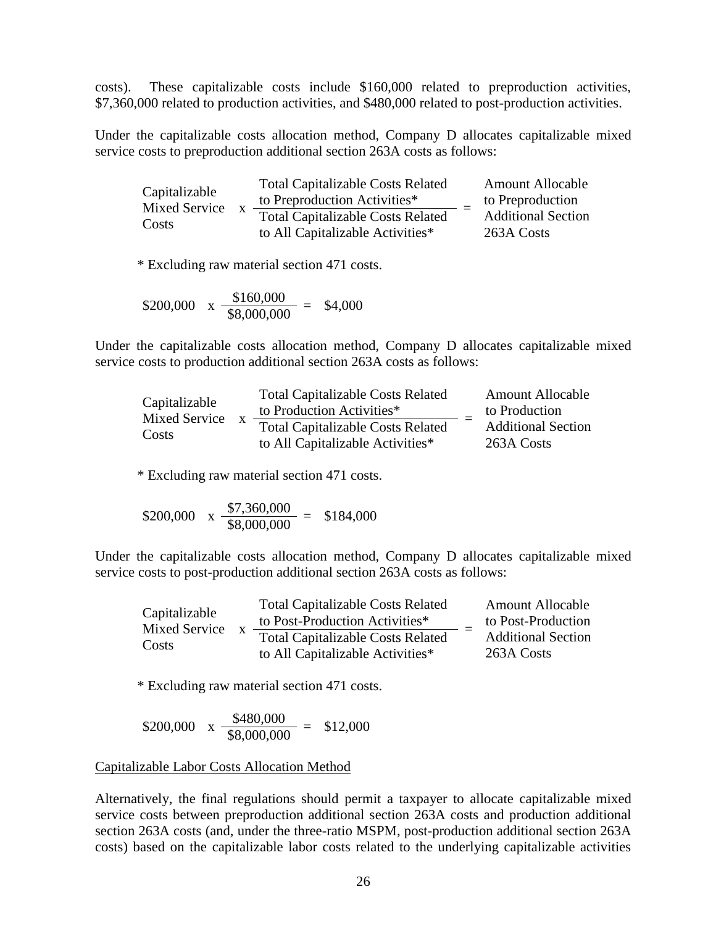costs). These capitalizable costs include \$160,000 related to preproduction activities, \$7,360,000 related to production activities, and \$480,000 related to post-production activities.

Under the capitalizable costs allocation method, Company D allocates capitalizable mixed service costs to preproduction additional section 263A costs as follows:

| Capitalizable<br><b>Mixed Service</b><br>Costs | <b>Total Capitalizable Costs Related</b> | <b>Amount Allocable</b>   |
|------------------------------------------------|------------------------------------------|---------------------------|
|                                                | to Preproduction Activities*             | to Preproduction          |
|                                                | <b>Total Capitalizable Costs Related</b> | <b>Additional Section</b> |
|                                                | to All Capitalizable Activities*         | 263A Costs                |

\* Excluding raw material section 471 costs.

\$200,000 x 
$$
\frac{$160,000}{$8,000,000}
$$
 = \$4,000

Under the capitalizable costs allocation method, Company D allocates capitalizable mixed service costs to production additional section 263A costs as follows:

| Capitalizable<br>Mixed Service<br>Costs | <b>Total Capitalizable Costs Related</b> | <b>Amount Allocable</b>   |
|-----------------------------------------|------------------------------------------|---------------------------|
|                                         | to Production Activities*                | to Production             |
|                                         | <b>Total Capitalizable Costs Related</b> | <b>Additional Section</b> |
|                                         | to All Capitalizable Activities*         | 263A Costs                |

\* Excluding raw material section 471 costs.

\$200,000 x 
$$
\frac{$7,360,000}{$8,000,000}
$$
 = \$184,000

Under the capitalizable costs allocation method, Company D allocates capitalizable mixed service costs to post-production additional section 263A costs as follows:

| Capitalizable          |              | <b>Total Capitalizable Costs Related</b><br>to Post-Production Activities*   | <b>Amount Allocable</b><br>to Post-Production |
|------------------------|--------------|------------------------------------------------------------------------------|-----------------------------------------------|
| Mixed Service<br>Costs | $\mathbf{X}$ | <b>Total Capitalizable Costs Related</b><br>to All Capitalizable Activities* | <b>Additional Section</b><br>263A Costs       |

\* Excluding raw material section 471 costs.

\$200,000 
$$
x \frac{$480,000}{$8,000,000} = $12,000
$$

#### Capitalizable Labor Costs Allocation Method

Alternatively, the final regulations should permit a taxpayer to allocate capitalizable mixed service costs between preproduction additional section 263A costs and production additional section 263A costs (and, under the three-ratio MSPM, post-production additional section 263A costs) based on the capitalizable labor costs related to the underlying capitalizable activities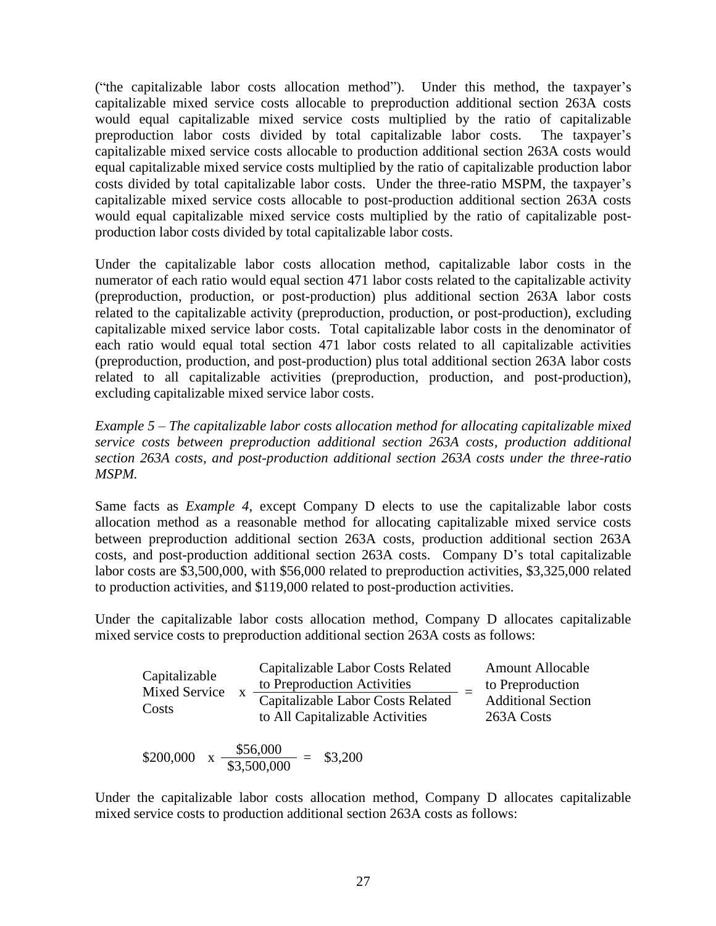("the capitalizable labor costs allocation method"). Under this method, the taxpayer's capitalizable mixed service costs allocable to preproduction additional section 263A costs would equal capitalizable mixed service costs multiplied by the ratio of capitalizable preproduction labor costs divided by total capitalizable labor costs. The taxpayer's capitalizable mixed service costs allocable to production additional section 263A costs would equal capitalizable mixed service costs multiplied by the ratio of capitalizable production labor costs divided by total capitalizable labor costs. Under the three-ratio MSPM, the taxpayer's capitalizable mixed service costs allocable to post-production additional section 263A costs would equal capitalizable mixed service costs multiplied by the ratio of capitalizable postproduction labor costs divided by total capitalizable labor costs.

Under the capitalizable labor costs allocation method, capitalizable labor costs in the numerator of each ratio would equal section 471 labor costs related to the capitalizable activity (preproduction, production, or post-production) plus additional section 263A labor costs related to the capitalizable activity (preproduction, production, or post-production), excluding capitalizable mixed service labor costs. Total capitalizable labor costs in the denominator of each ratio would equal total section 471 labor costs related to all capitalizable activities (preproduction, production, and post-production) plus total additional section 263A labor costs related to all capitalizable activities (preproduction, production, and post-production), excluding capitalizable mixed service labor costs.

*Example 5 – The capitalizable labor costs allocation method for allocating capitalizable mixed service costs between preproduction additional section 263A costs, production additional section 263A costs, and post-production additional section 263A costs under the three-ratio MSPM.*

Same facts as *Example 4*, except Company D elects to use the capitalizable labor costs allocation method as a reasonable method for allocating capitalizable mixed service costs between preproduction additional section 263A costs, production additional section 263A costs, and post-production additional section 263A costs. Company D's total capitalizable labor costs are \$3,500,000, with \$56,000 related to preproduction activities, \$3,325,000 related to production activities, and \$119,000 related to post-production activities.

Under the capitalizable labor costs allocation method, Company D allocates capitalizable mixed service costs to preproduction additional section 263A costs as follows:

| Capitalizable<br><b>Mixed Service</b><br>Costs | Capitalizable Labor Costs Related<br>to Preproduction Activities<br>Capitalizable Labor Costs Related<br>to All Capitalizable Activities | <b>Amount Allocable</b><br>to Preproduction<br><b>Additional Section</b><br>263A Costs |
|------------------------------------------------|------------------------------------------------------------------------------------------------------------------------------------------|----------------------------------------------------------------------------------------|
| .                                              | \$56,000<br>.                                                                                                                            |                                                                                        |

\$200,000 x  $\frac{$56,000}{$3,500,000} = $3,200$ 

Under the capitalizable labor costs allocation method, Company D allocates capitalizable mixed service costs to production additional section 263A costs as follows: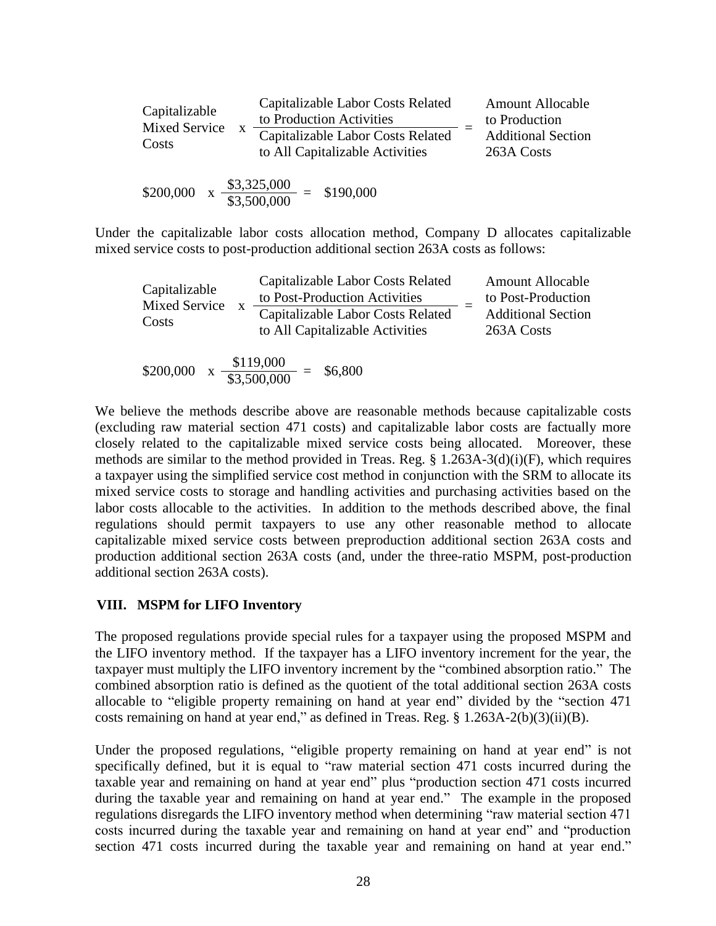| Capitalizable<br>Mixed Service<br>Costs | Capitalizable Labor Costs Related<br>to Production Activities<br>Capitalizable Labor Costs Related<br>to All Capitalizable Activities |  | <b>Amount Allocable</b><br>to Production<br><b>Additional Section</b><br>263A Costs |
|-----------------------------------------|---------------------------------------------------------------------------------------------------------------------------------------|--|-------------------------------------------------------------------------------------|
|-----------------------------------------|---------------------------------------------------------------------------------------------------------------------------------------|--|-------------------------------------------------------------------------------------|

\$200,000 x 
$$
\frac{$3,325,000}{$3,500,000}
$$
 = \$190,000

Under the capitalizable labor costs allocation method, Company D allocates capitalizable mixed service costs to post-production additional section 263A costs as follows:

| Capitalizable<br>Mixed Service<br>Costs | Capitalizable Labor Costs Related<br>to Post-Production Activities<br>Capitalizable Labor Costs Related<br>to All Capitalizable Activities | <b>Amount Allocable</b><br>to Post-Production<br><b>Additional Section</b><br>263A Costs |
|-----------------------------------------|--------------------------------------------------------------------------------------------------------------------------------------------|------------------------------------------------------------------------------------------|
| \$200,000                               | $\frac{$119,000}{$3,500,000}$<br>\$6,800<br>$\equiv$                                                                                       |                                                                                          |

We believe the methods describe above are reasonable methods because capitalizable costs (excluding raw material section 471 costs) and capitalizable labor costs are factually more closely related to the capitalizable mixed service costs being allocated. Moreover, these methods are similar to the method provided in Treas. Reg.  $\S$  1.263A-3(d)(i)(F), which requires a taxpayer using the simplified service cost method in conjunction with the SRM to allocate its mixed service costs to storage and handling activities and purchasing activities based on the labor costs allocable to the activities. In addition to the methods described above, the final regulations should permit taxpayers to use any other reasonable method to allocate capitalizable mixed service costs between preproduction additional section 263A costs and production additional section 263A costs (and, under the three-ratio MSPM, post-production additional section 263A costs).

### **VIII. MSPM for LIFO Inventory**

The proposed regulations provide special rules for a taxpayer using the proposed MSPM and the LIFO inventory method. If the taxpayer has a LIFO inventory increment for the year, the taxpayer must multiply the LIFO inventory increment by the "combined absorption ratio." The combined absorption ratio is defined as the quotient of the total additional section 263A costs allocable to "eligible property remaining on hand at year end" divided by the "section 471 costs remaining on hand at year end," as defined in Treas. Reg. § 1.263A-2(b)(3)(ii)(B).

Under the proposed regulations, "eligible property remaining on hand at year end" is not specifically defined, but it is equal to "raw material section 471 costs incurred during the taxable year and remaining on hand at year end" plus "production section 471 costs incurred during the taxable year and remaining on hand at year end." The example in the proposed regulations disregards the LIFO inventory method when determining "raw material section 471 costs incurred during the taxable year and remaining on hand at year end" and "production section 471 costs incurred during the taxable year and remaining on hand at year end."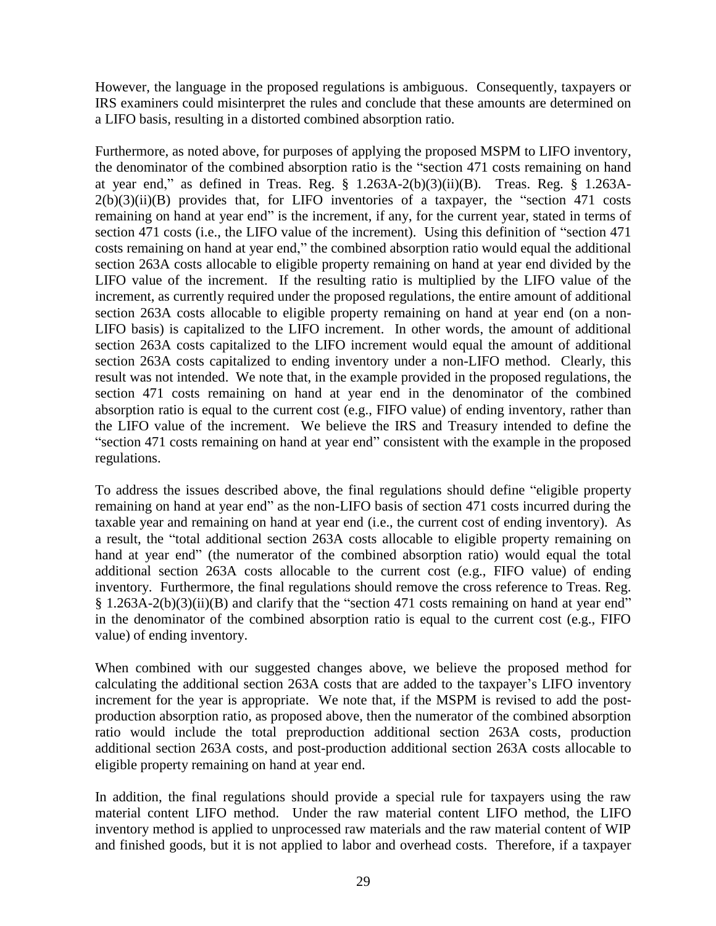However, the language in the proposed regulations is ambiguous. Consequently, taxpayers or IRS examiners could misinterpret the rules and conclude that these amounts are determined on a LIFO basis, resulting in a distorted combined absorption ratio.

Furthermore, as noted above, for purposes of applying the proposed MSPM to LIFO inventory, the denominator of the combined absorption ratio is the "section 471 costs remaining on hand at year end," as defined in Treas. Reg.  $\S$  1.263A-2(b)(3)(ii)(B). Treas. Reg.  $\S$  1.263A- $2(b)(3)(ii)(B)$  provides that, for LIFO inventories of a taxpayer, the "section 471 costs remaining on hand at year end" is the increment, if any, for the current year, stated in terms of section 471 costs (i.e., the LIFO value of the increment). Using this definition of "section 471 costs remaining on hand at year end," the combined absorption ratio would equal the additional section 263A costs allocable to eligible property remaining on hand at year end divided by the LIFO value of the increment. If the resulting ratio is multiplied by the LIFO value of the increment, as currently required under the proposed regulations, the entire amount of additional section 263A costs allocable to eligible property remaining on hand at year end (on a non-LIFO basis) is capitalized to the LIFO increment. In other words, the amount of additional section 263A costs capitalized to the LIFO increment would equal the amount of additional section 263A costs capitalized to ending inventory under a non-LIFO method. Clearly, this result was not intended. We note that, in the example provided in the proposed regulations, the section 471 costs remaining on hand at year end in the denominator of the combined absorption ratio is equal to the current cost (e.g., FIFO value) of ending inventory, rather than the LIFO value of the increment. We believe the IRS and Treasury intended to define the "section 471 costs remaining on hand at year end" consistent with the example in the proposed regulations.

To address the issues described above, the final regulations should define "eligible property remaining on hand at year end" as the non-LIFO basis of section 471 costs incurred during the taxable year and remaining on hand at year end (i.e., the current cost of ending inventory). As a result, the "total additional section 263A costs allocable to eligible property remaining on hand at year end" (the numerator of the combined absorption ratio) would equal the total additional section 263A costs allocable to the current cost (e.g., FIFO value) of ending inventory. Furthermore, the final regulations should remove the cross reference to Treas. Reg. § 1.263A-2(b)(3)(ii)(B) and clarify that the "section 471 costs remaining on hand at year end" in the denominator of the combined absorption ratio is equal to the current cost (e.g., FIFO value) of ending inventory.

When combined with our suggested changes above, we believe the proposed method for calculating the additional section 263A costs that are added to the taxpayer's LIFO inventory increment for the year is appropriate. We note that, if the MSPM is revised to add the postproduction absorption ratio, as proposed above, then the numerator of the combined absorption ratio would include the total preproduction additional section 263A costs, production additional section 263A costs, and post-production additional section 263A costs allocable to eligible property remaining on hand at year end.

In addition, the final regulations should provide a special rule for taxpayers using the raw material content LIFO method. Under the raw material content LIFO method, the LIFO inventory method is applied to unprocessed raw materials and the raw material content of WIP and finished goods, but it is not applied to labor and overhead costs. Therefore, if a taxpayer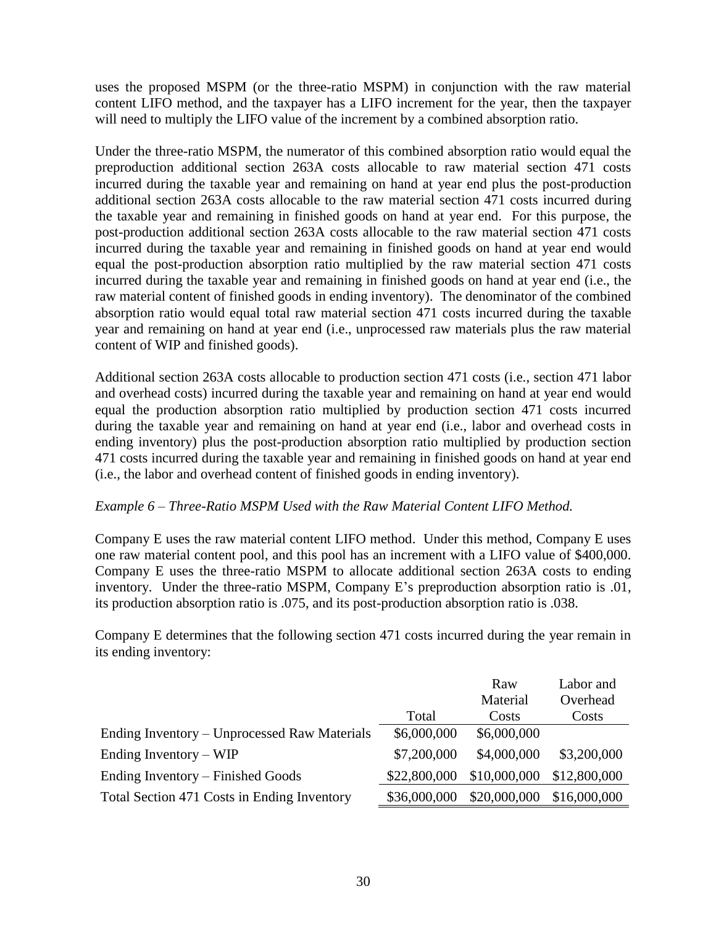uses the proposed MSPM (or the three-ratio MSPM) in conjunction with the raw material content LIFO method, and the taxpayer has a LIFO increment for the year, then the taxpayer will need to multiply the LIFO value of the increment by a combined absorption ratio.

Under the three-ratio MSPM, the numerator of this combined absorption ratio would equal the preproduction additional section 263A costs allocable to raw material section 471 costs incurred during the taxable year and remaining on hand at year end plus the post-production additional section 263A costs allocable to the raw material section 471 costs incurred during the taxable year and remaining in finished goods on hand at year end. For this purpose, the post-production additional section 263A costs allocable to the raw material section 471 costs incurred during the taxable year and remaining in finished goods on hand at year end would equal the post-production absorption ratio multiplied by the raw material section 471 costs incurred during the taxable year and remaining in finished goods on hand at year end (i.e., the raw material content of finished goods in ending inventory). The denominator of the combined absorption ratio would equal total raw material section 471 costs incurred during the taxable year and remaining on hand at year end (i.e., unprocessed raw materials plus the raw material content of WIP and finished goods).

Additional section 263A costs allocable to production section 471 costs (i.e., section 471 labor and overhead costs) incurred during the taxable year and remaining on hand at year end would equal the production absorption ratio multiplied by production section 471 costs incurred during the taxable year and remaining on hand at year end (i.e., labor and overhead costs in ending inventory) plus the post-production absorption ratio multiplied by production section 471 costs incurred during the taxable year and remaining in finished goods on hand at year end (i.e., the labor and overhead content of finished goods in ending inventory).

### *Example 6 – Three-Ratio MSPM Used with the Raw Material Content LIFO Method.*

Company E uses the raw material content LIFO method. Under this method, Company E uses one raw material content pool, and this pool has an increment with a LIFO value of \$400,000. Company E uses the three-ratio MSPM to allocate additional section 263A costs to ending inventory. Under the three-ratio MSPM, Company E's preproduction absorption ratio is .01, its production absorption ratio is .075, and its post-production absorption ratio is .038.

Company E determines that the following section 471 costs incurred during the year remain in its ending inventory:

|                                              |              | Raw          | Labor and    |
|----------------------------------------------|--------------|--------------|--------------|
|                                              |              | Material     | Overhead     |
|                                              | Total        | Costs        | Costs        |
| Ending Inventory – Unprocessed Raw Materials | \$6,000,000  | \$6,000,000  |              |
| Ending Inventory $-WIP$                      | \$7,200,000  | \$4,000,000  | \$3,200,000  |
| Ending Inventory – Finished Goods            | \$22,800,000 | \$10,000,000 | \$12,800,000 |
| Total Section 471 Costs in Ending Inventory  | \$36,000,000 | \$20,000,000 | \$16,000,000 |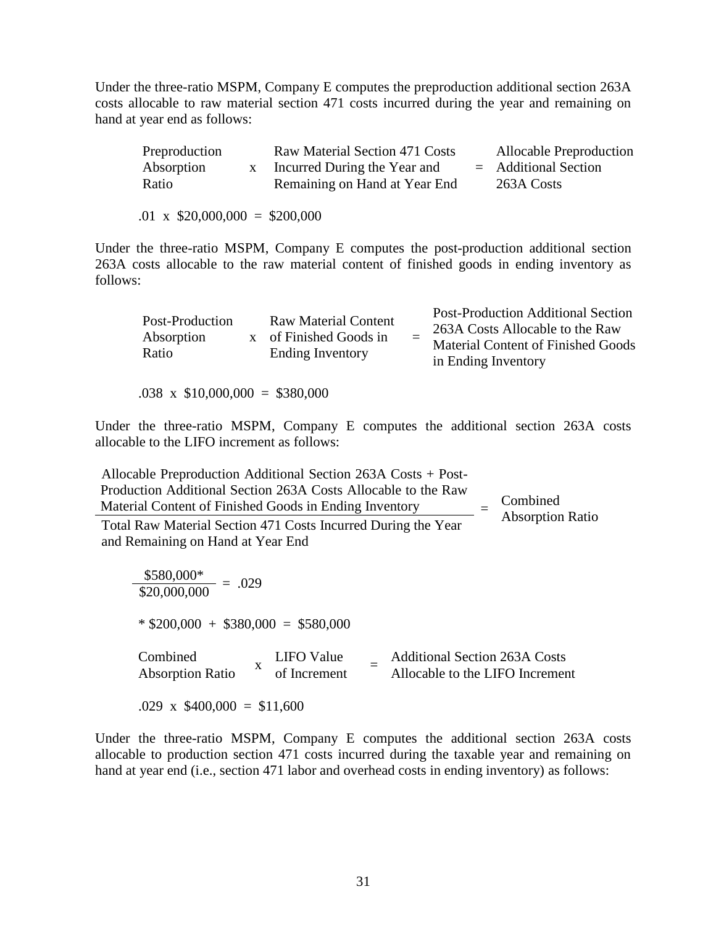Under the three-ratio MSPM, Company E computes the preproduction additional section 263A costs allocable to raw material section 471 costs incurred during the year and remaining on hand at year end as follows:

| Preproduction | Raw Material Section 471 Costs | Allocable Preproduction |
|---------------|--------------------------------|-------------------------|
| Absorption    | Incurred During the Year and   | $=$ Additional Section  |
| Ratio         | Remaining on Hand at Year End  | 263A Costs              |
|               |                                |                         |

 $.01 \times$  \$20,000,000 = \$200,000

Under the three-ratio MSPM, Company E computes the post-production additional section 263A costs allocable to the raw material content of finished goods in ending inventory as follows:

| Post-Production<br>Absorption<br>Ratio |  | <b>Raw Material Content</b><br>x of Finished Goods in<br><b>Ending Inventory</b> |  | <b>Post-Production Additional Section</b><br>263A Costs Allocable to the Raw<br><b>Material Content of Finished Goods</b><br>in Ending Inventory |
|----------------------------------------|--|----------------------------------------------------------------------------------|--|--------------------------------------------------------------------------------------------------------------------------------------------------|
|----------------------------------------|--|----------------------------------------------------------------------------------|--|--------------------------------------------------------------------------------------------------------------------------------------------------|

 $.038 \times \$10,000,000 = \$380,000$ 

Under the three-ratio MSPM, Company E computes the additional section 263A costs allocable to the LIFO increment as follows:

Allocable Preproduction Additional Section 263A Costs + Post-Production Additional Section 263A Costs Allocable to the Raw Material Content of Finished Goods in Ending Inventory  $=$ **Combined** Absorption Ratio Total Raw Material Section 471 Costs Incurred During the Year **Absorption Ratio** and Remaining on Hand at Year End

 $\frac{$580,000*}{\$20,000,000} = .029$  $*$  \$200,000 + \$380,000 = \$580,000 Combined Absorption Ratio<sup>x</sup> LIFO Value of Increment  $=$  Additional Section 263A Costs Allocable to the LIFO Increment  $.029 \times \$400,000 = \$11,600$ 

Under the three-ratio MSPM, Company E computes the additional section 263A costs allocable to production section 471 costs incurred during the taxable year and remaining on hand at year end (i.e., section 471 labor and overhead costs in ending inventory) as follows: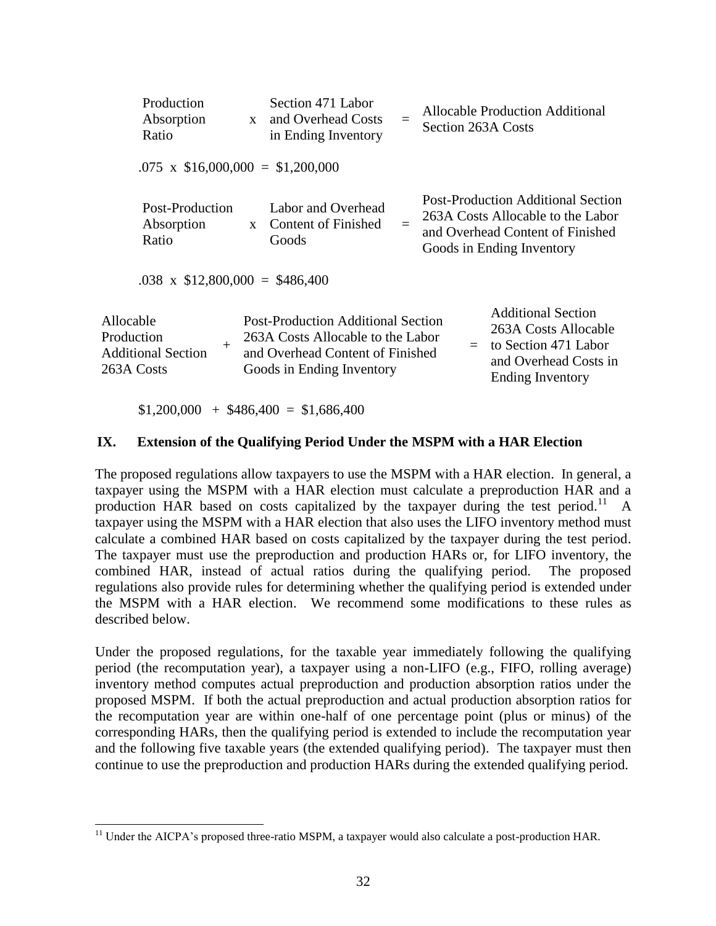|                                       | Production<br>Absorption<br>Ratio        | $\mathbf{X}$ | Section 471 Labor<br>and Overhead Costs<br>in Ending Inventory                                                                                  | $=$ | Allocable Production Additional<br>Section 263A Costs                                                                                           |
|---------------------------------------|------------------------------------------|--------------|-------------------------------------------------------------------------------------------------------------------------------------------------|-----|-------------------------------------------------------------------------------------------------------------------------------------------------|
|                                       | $.075 \times \$16,000,000 = \$1,200,000$ |              |                                                                                                                                                 |     |                                                                                                                                                 |
|                                       | Post-Production<br>Absorption<br>Ratio   | $\mathbf{x}$ | Labor and Overhead<br>Content of Finished<br>Goods                                                                                              |     | <b>Post-Production Additional Section</b><br>263A Costs Allocable to the Labor<br>and Overhead Content of Finished<br>Goods in Ending Inventory |
|                                       | $.038 \times \$12,800,000 = \$486,400$   |              |                                                                                                                                                 |     |                                                                                                                                                 |
| Allocable<br>Production<br>263A Costs | $^{+}$<br><b>Additional Section</b>      |              | <b>Post-Production Additional Section</b><br>263A Costs Allocable to the Labor<br>and Overhead Content of Finished<br>Goods in Ending Inventory |     | <b>Additional Section</b><br>263A Costs Allocable<br>to Section 471 Labor<br>$=$<br>and Overhead Costs in<br><b>Ending Inventory</b>            |

 $$1,200,000 + $486,400 = $1,686,400$ 

 $\overline{a}$ 

#### **IX. Extension of the Qualifying Period Under the MSPM with a HAR Election**

The proposed regulations allow taxpayers to use the MSPM with a HAR election. In general, a taxpayer using the MSPM with a HAR election must calculate a preproduction HAR and a production HAR based on costs capitalized by the taxpayer during the test period.<sup>11</sup> A taxpayer using the MSPM with a HAR election that also uses the LIFO inventory method must calculate a combined HAR based on costs capitalized by the taxpayer during the test period. The taxpayer must use the preproduction and production HARs or, for LIFO inventory, the combined HAR, instead of actual ratios during the qualifying period. The proposed regulations also provide rules for determining whether the qualifying period is extended under the MSPM with a HAR election. We recommend some modifications to these rules as described below.

Under the proposed regulations, for the taxable year immediately following the qualifying period (the recomputation year), a taxpayer using a non-LIFO (e.g., FIFO, rolling average) inventory method computes actual preproduction and production absorption ratios under the proposed MSPM. If both the actual preproduction and actual production absorption ratios for the recomputation year are within one-half of one percentage point (plus or minus) of the corresponding HARs, then the qualifying period is extended to include the recomputation year and the following five taxable years (the extended qualifying period). The taxpayer must then continue to use the preproduction and production HARs during the extended qualifying period.

<sup>&</sup>lt;sup>11</sup> Under the AICPA's proposed three-ratio MSPM, a taxpayer would also calculate a post-production HAR.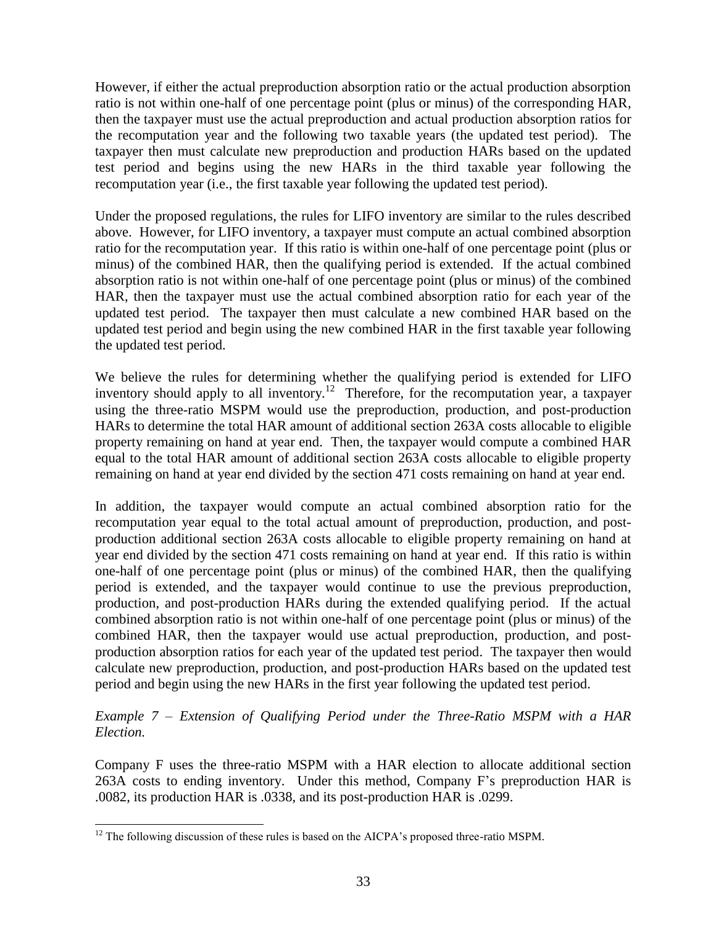However, if either the actual preproduction absorption ratio or the actual production absorption ratio is not within one-half of one percentage point (plus or minus) of the corresponding HAR, then the taxpayer must use the actual preproduction and actual production absorption ratios for the recomputation year and the following two taxable years (the updated test period). The taxpayer then must calculate new preproduction and production HARs based on the updated test period and begins using the new HARs in the third taxable year following the recomputation year (i.e., the first taxable year following the updated test period).

Under the proposed regulations, the rules for LIFO inventory are similar to the rules described above. However, for LIFO inventory, a taxpayer must compute an actual combined absorption ratio for the recomputation year. If this ratio is within one-half of one percentage point (plus or minus) of the combined HAR, then the qualifying period is extended. If the actual combined absorption ratio is not within one-half of one percentage point (plus or minus) of the combined HAR, then the taxpayer must use the actual combined absorption ratio for each year of the updated test period. The taxpayer then must calculate a new combined HAR based on the updated test period and begin using the new combined HAR in the first taxable year following the updated test period.

We believe the rules for determining whether the qualifying period is extended for LIFO inventory should apply to all inventory.<sup>12</sup> Therefore, for the recomputation year, a taxpayer using the three-ratio MSPM would use the preproduction, production, and post-production HARs to determine the total HAR amount of additional section 263A costs allocable to eligible property remaining on hand at year end. Then, the taxpayer would compute a combined HAR equal to the total HAR amount of additional section 263A costs allocable to eligible property remaining on hand at year end divided by the section 471 costs remaining on hand at year end.

In addition, the taxpayer would compute an actual combined absorption ratio for the recomputation year equal to the total actual amount of preproduction, production, and postproduction additional section 263A costs allocable to eligible property remaining on hand at year end divided by the section 471 costs remaining on hand at year end. If this ratio is within one-half of one percentage point (plus or minus) of the combined HAR, then the qualifying period is extended, and the taxpayer would continue to use the previous preproduction, production, and post-production HARs during the extended qualifying period. If the actual combined absorption ratio is not within one-half of one percentage point (plus or minus) of the combined HAR, then the taxpayer would use actual preproduction, production, and postproduction absorption ratios for each year of the updated test period. The taxpayer then would calculate new preproduction, production, and post-production HARs based on the updated test period and begin using the new HARs in the first year following the updated test period.

# *Example 7 – Extension of Qualifying Period under the Three-Ratio MSPM with a HAR Election.*

Company F uses the three-ratio MSPM with a HAR election to allocate additional section 263A costs to ending inventory. Under this method, Company F's preproduction HAR is .0082, its production HAR is .0338, and its post-production HAR is .0299.

 $\overline{a}$ 

 $12$  The following discussion of these rules is based on the AICPA's proposed three-ratio MSPM.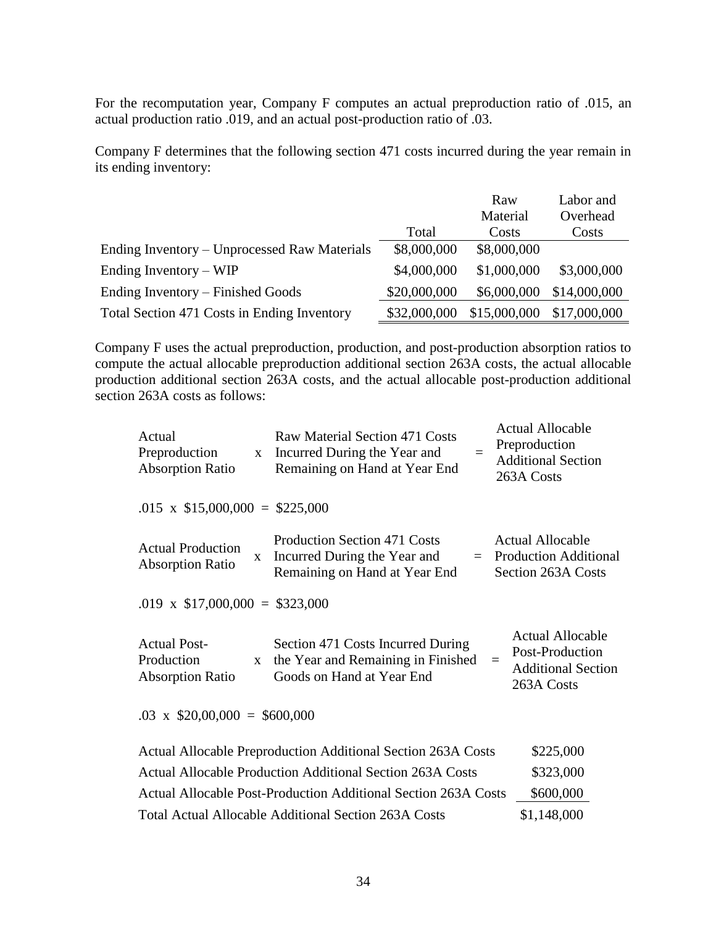For the recomputation year, Company F computes an actual preproduction ratio of .015, an actual production ratio .019, and an actual post-production ratio of .03.

Company F determines that the following section 471 costs incurred during the year remain in its ending inventory:

|                                              |              | Raw          | Labor and    |
|----------------------------------------------|--------------|--------------|--------------|
|                                              |              | Material     | Overhead     |
|                                              | Total        | Costs        | Costs        |
| Ending Inventory – Unprocessed Raw Materials | \$8,000,000  | \$8,000,000  |              |
| Ending Inventory $-WIP$                      | \$4,000,000  | \$1,000,000  | \$3,000,000  |
| Ending Inventory – Finished Goods            | \$20,000,000 | \$6,000,000  | \$14,000,000 |
| Total Section 471 Costs in Ending Inventory  | \$32,000,000 | \$15,000,000 | \$17,000,000 |

Company F uses the actual preproduction, production, and post-production absorption ratios to compute the actual allocable preproduction additional section 263A costs, the actual allocable production additional section 263A costs, and the actual allocable post-production additional section 263A costs as follows:

| Actual<br>Preproduction<br><b>Absorption Ratio</b>           | $\mathbf{X}$ | Raw Material Section 471 Costs<br>Incurred During the Year and<br>$=$<br>Remaining on Hand at Year End      | <b>Actual Allocable</b><br>Preproduction<br><b>Additional Section</b><br>263A Costs |
|--------------------------------------------------------------|--------------|-------------------------------------------------------------------------------------------------------------|-------------------------------------------------------------------------------------|
| $.015 \times \$15,000,000 = \$225,000$                       |              |                                                                                                             |                                                                                     |
| <b>Actual Production</b><br><b>Absorption Ratio</b>          | $\mathbf{X}$ | <b>Production Section 471 Costs</b><br>Incurred During the Year and<br>Remaining on Hand at Year End        | <b>Actual Allocable</b><br>$=$ Production Additional<br>Section 263A Costs          |
| .019 x $$17,000,000 = $323,000$                              |              |                                                                                                             |                                                                                     |
| <b>Actual Post-</b><br>Production<br><b>Absorption Ratio</b> | $\mathbf{X}$ | Section 471 Costs Incurred During<br>the Year and Remaining in Finished<br>$=$<br>Goods on Hand at Year End | Actual Allocable<br>Post-Production<br><b>Additional Section</b><br>263A Costs      |
| $.03 \times$ \$20,00,000 = \$600,000                         |              |                                                                                                             |                                                                                     |
|                                                              |              | Actual Allocable Preproduction Additional Section 263A Costs                                                | \$225,000                                                                           |
|                                                              |              | Actual Allocable Production Additional Section 263A Costs                                                   | \$323,000                                                                           |
|                                                              |              | Actual Allocable Post-Production Additional Section 263A Costs                                              | \$600,000                                                                           |
|                                                              |              | Total Actual Allocable Additional Section 263A Costs                                                        | \$1,148,000                                                                         |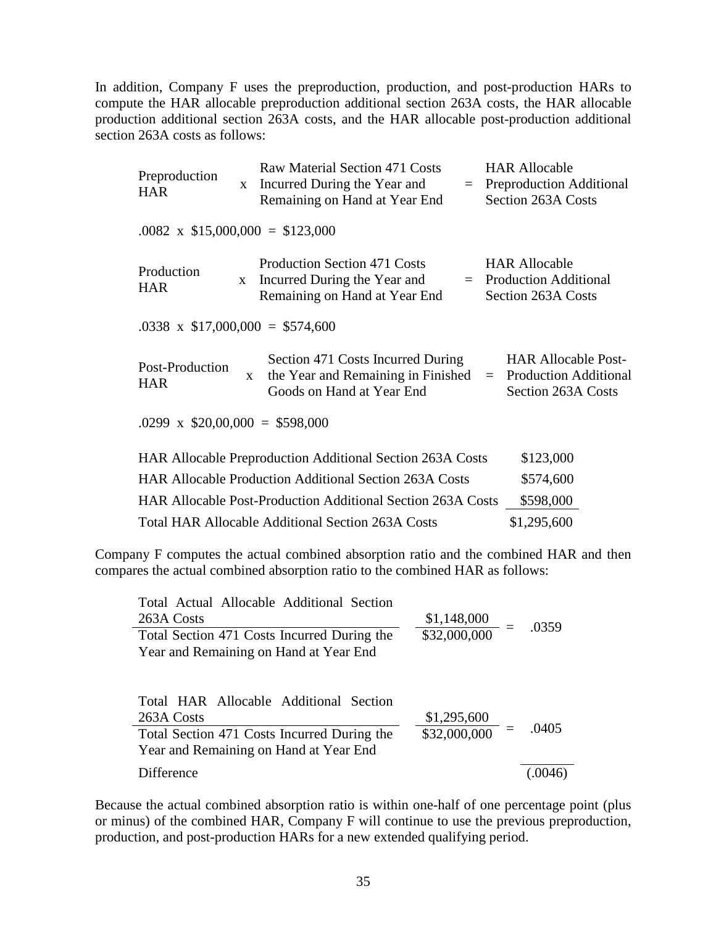In addition, Company F uses the preproduction, production, and post-production HARs to compute the HAR allocable preproduction additional section 263A costs, the HAR allocable production additional section 263A costs, and the HAR allocable post-production additional section 263A costs as follows:

| Preproduction<br><b>HAR</b>             | $\mathbf{X}$ | Raw Material Section 471 Costs<br>Incurred During the Year and<br>Remaining on Hand at Year End      | <b>HAR Allocable</b><br>$=$ Preproduction Additional<br>Section 263A Costs              |
|-----------------------------------------|--------------|------------------------------------------------------------------------------------------------------|-----------------------------------------------------------------------------------------|
| $.0082 \times $15,000,000 = $123,000$   |              |                                                                                                      |                                                                                         |
| Production<br><b>HAR</b>                | X            | Production Section 471 Costs<br>Incurred During the Year and<br>Remaining on Hand at Year End        | <b>HAR Allocable</b><br>$=$ Production Additional<br>Section 263A Costs                 |
| $.0338 \times \$17,000,000 = \$574,600$ |              |                                                                                                      |                                                                                         |
| Post-Production<br><b>HAR</b>           | $\mathbf{x}$ | Section 471 Costs Incurred During<br>the Year and Remaining in Finished<br>Goods on Hand at Year End | <b>HAR Allocable Post-</b><br><b>Production Additional</b><br>$=$<br>Section 263A Costs |
| $.0299 \times \$20,00,000 = \$598,000$  |              |                                                                                                      |                                                                                         |
|                                         |              | <b>HAR Allocable Preproduction Additional Section 263A Costs</b>                                     | \$123,000                                                                               |
|                                         |              | <b>HAR Allocable Production Additional Section 263A Costs</b>                                        | \$574,600                                                                               |
|                                         |              | <b>HAR Allocable Post-Production Additional Section 263A Costs</b>                                   | \$598,000                                                                               |
|                                         |              | <b>Total HAR Allocable Additional Section 263A Costs</b>                                             | \$1,295,600                                                                             |

Company F computes the actual combined absorption ratio and the combined HAR and then compares the actual combined absorption ratio to the combined HAR as follows:

| Total Actual Allocable Additional Section<br>\$1,148,000<br>263A Costs<br>\$32,000,000<br>Total Section 471 Costs Incurred During the                                        | .0359 |
|------------------------------------------------------------------------------------------------------------------------------------------------------------------------------|-------|
| Year and Remaining on Hand at Year End                                                                                                                                       |       |
| Total HAR Allocable Additional Section<br>\$1,295,600<br>263A Costs<br>\$32,000,000<br>Total Section 471 Costs Incurred During the<br>Year and Remaining on Hand at Year End | .0405 |
| Difference                                                                                                                                                                   |       |

Because the actual combined absorption ratio is within one-half of one percentage point (plus or minus) of the combined HAR, Company F will continue to use the previous preproduction, production, and post-production HARs for a new extended qualifying period.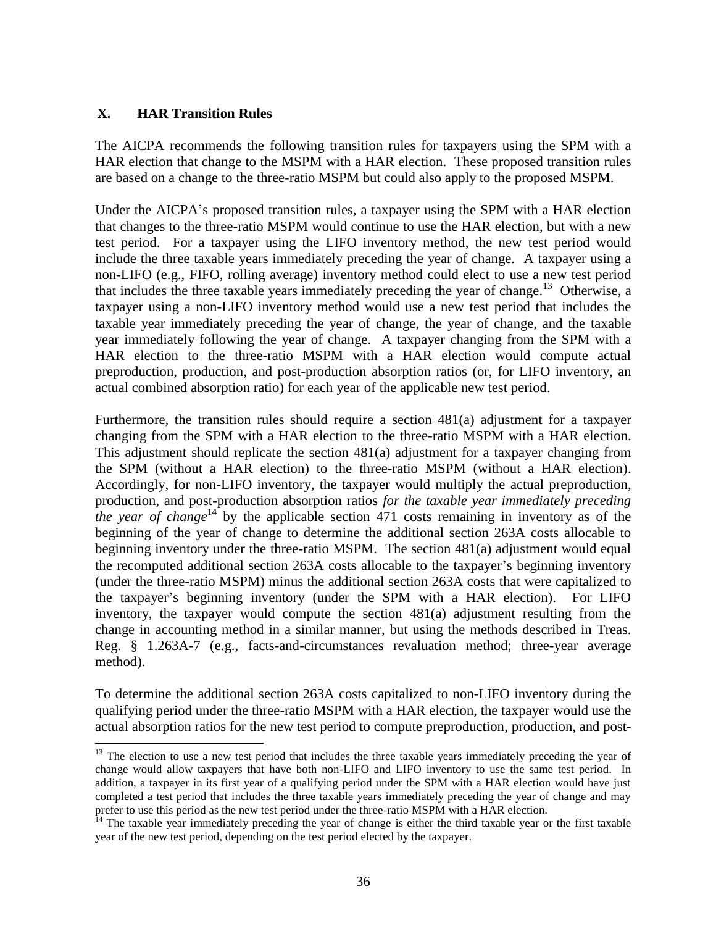### **X. HAR Transition Rules**

 $\overline{a}$ 

The AICPA recommends the following transition rules for taxpayers using the SPM with a HAR election that change to the MSPM with a HAR election. These proposed transition rules are based on a change to the three-ratio MSPM but could also apply to the proposed MSPM.

Under the AICPA's proposed transition rules, a taxpayer using the SPM with a HAR election that changes to the three-ratio MSPM would continue to use the HAR election, but with a new test period. For a taxpayer using the LIFO inventory method, the new test period would include the three taxable years immediately preceding the year of change. A taxpayer using a non-LIFO (e.g., FIFO, rolling average) inventory method could elect to use a new test period that includes the three taxable years immediately preceding the year of change. <sup>13</sup> Otherwise, a taxpayer using a non-LIFO inventory method would use a new test period that includes the taxable year immediately preceding the year of change, the year of change, and the taxable year immediately following the year of change. A taxpayer changing from the SPM with a HAR election to the three-ratio MSPM with a HAR election would compute actual preproduction, production, and post-production absorption ratios (or, for LIFO inventory, an actual combined absorption ratio) for each year of the applicable new test period.

Furthermore, the transition rules should require a section 481(a) adjustment for a taxpayer changing from the SPM with a HAR election to the three-ratio MSPM with a HAR election. This adjustment should replicate the section 481(a) adjustment for a taxpayer changing from the SPM (without a HAR election) to the three-ratio MSPM (without a HAR election). Accordingly, for non-LIFO inventory, the taxpayer would multiply the actual preproduction, production, and post-production absorption ratios *for the taxable year immediately preceding the year of change*<sup>14</sup> by the applicable section 471 costs remaining in inventory as of the beginning of the year of change to determine the additional section 263A costs allocable to beginning inventory under the three-ratio MSPM. The section 481(a) adjustment would equal the recomputed additional section 263A costs allocable to the taxpayer's beginning inventory (under the three-ratio MSPM) minus the additional section 263A costs that were capitalized to the taxpayer's beginning inventory (under the SPM with a HAR election). For LIFO inventory, the taxpayer would compute the section 481(a) adjustment resulting from the change in accounting method in a similar manner, but using the methods described in Treas. Reg. § 1.263A-7 (e.g., facts-and-circumstances revaluation method; three-year average method).

To determine the additional section 263A costs capitalized to non-LIFO inventory during the qualifying period under the three-ratio MSPM with a HAR election, the taxpayer would use the actual absorption ratios for the new test period to compute preproduction, production, and post-

<sup>&</sup>lt;sup>13</sup> The election to use a new test period that includes the three taxable years immediately preceding the year of change would allow taxpayers that have both non-LIFO and LIFO inventory to use the same test period. In addition, a taxpayer in its first year of a qualifying period under the SPM with a HAR election would have just completed a test period that includes the three taxable years immediately preceding the year of change and may prefer to use this period as the new test period under the three-ratio MSPM with a HAR election.

 $14$  The taxable year immediately preceding the year of change is either the third taxable year or the first taxable year of the new test period, depending on the test period elected by the taxpayer.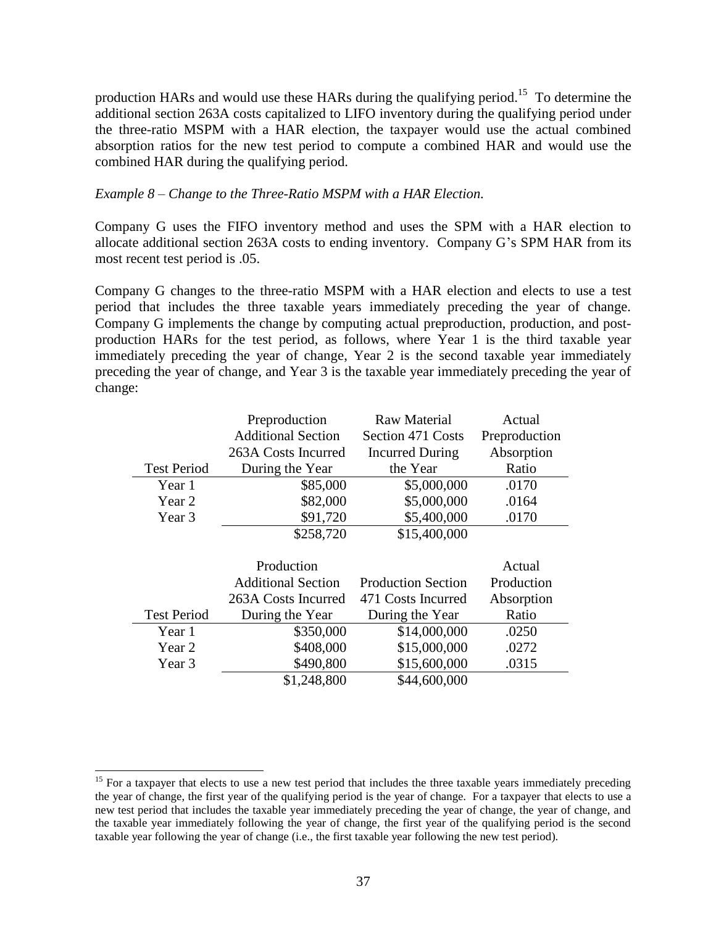production HARs and would use these HARs during the qualifying period.<sup>15</sup> To determine the additional section 263A costs capitalized to LIFO inventory during the qualifying period under the three-ratio MSPM with a HAR election, the taxpayer would use the actual combined absorption ratios for the new test period to compute a combined HAR and would use the combined HAR during the qualifying period.

#### *Example 8 – Change to the Three-Ratio MSPM with a HAR Election.*

Company G uses the FIFO inventory method and uses the SPM with a HAR election to allocate additional section 263A costs to ending inventory. Company G's SPM HAR from its most recent test period is .05.

Company G changes to the three-ratio MSPM with a HAR election and elects to use a test period that includes the three taxable years immediately preceding the year of change. Company G implements the change by computing actual preproduction, production, and postproduction HARs for the test period, as follows, where Year 1 is the third taxable year immediately preceding the year of change, Year 2 is the second taxable year immediately preceding the year of change, and Year 3 is the taxable year immediately preceding the year of change:

|                    | Preproduction             | Raw Material              | Actual        |
|--------------------|---------------------------|---------------------------|---------------|
|                    | <b>Additional Section</b> | Section 471 Costs         | Preproduction |
|                    | 263A Costs Incurred       | <b>Incurred During</b>    | Absorption    |
| <b>Test Period</b> | During the Year           | the Year                  | Ratio         |
| Year 1             | \$85,000                  | \$5,000,000               | .0170         |
| Year 2             | \$82,000                  | \$5,000,000               | .0164         |
| Year 3             | \$91,720                  | \$5,400,000               | .0170         |
|                    | \$258,720                 | \$15,400,000              |               |
|                    |                           |                           |               |
|                    | Production                |                           | Actual        |
|                    | <b>Additional Section</b> | <b>Production Section</b> | Production    |
|                    | 263A Costs Incurred       | 471 Costs Incurred        | Absorption    |
| <b>Test Period</b> | During the Year           | During the Year           | Ratio         |
| Year 1             | \$350,000                 | \$14,000,000              | .0250         |
| Year 2             | \$408,000                 | \$15,000,000              | .0272         |
| Year 3             | \$490,800                 | \$15,600,000              | .0315         |
|                    |                           |                           |               |

 $\overline{a}$ 

<sup>&</sup>lt;sup>15</sup> For a taxpayer that elects to use a new test period that includes the three taxable years immediately preceding the year of change, the first year of the qualifying period is the year of change. For a taxpayer that elects to use a new test period that includes the taxable year immediately preceding the year of change, the year of change, and the taxable year immediately following the year of change, the first year of the qualifying period is the second taxable year following the year of change (i.e., the first taxable year following the new test period).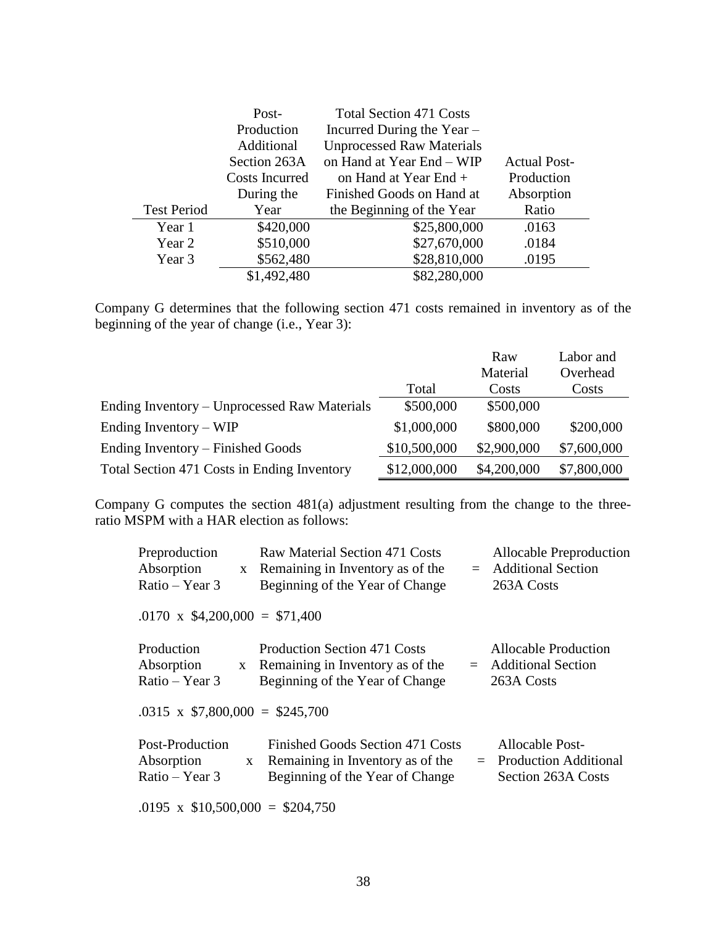|                    | Post-          | <b>Total Section 471 Costs</b>   |                     |
|--------------------|----------------|----------------------------------|---------------------|
|                    | Production     | Incurred During the Year -       |                     |
|                    | Additional     | <b>Unprocessed Raw Materials</b> |                     |
|                    | Section 263A   | on Hand at Year End - WIP        | <b>Actual Post-</b> |
|                    | Costs Incurred | on Hand at Year End +            | Production          |
|                    | During the     | Finished Goods on Hand at        | Absorption          |
| <b>Test Period</b> | Year           | the Beginning of the Year        | Ratio               |
| Year 1             | \$420,000      | \$25,800,000                     | .0163               |
| Year 2             | \$510,000      | \$27,670,000                     | .0184               |
| Year 3             | \$562,480      | \$28,810,000                     | .0195               |
|                    | \$1,492,480    | \$82,280,000                     |                     |

Company G determines that the following section 471 costs remained in inventory as of the beginning of the year of change (i.e., Year 3):

|                                              |              | Raw         | Labor and   |
|----------------------------------------------|--------------|-------------|-------------|
|                                              |              | Material    | Overhead    |
|                                              | Total        | Costs       | Costs       |
| Ending Inventory – Unprocessed Raw Materials | \$500,000    | \$500,000   |             |
| Ending Inventory $-WIP$                      | \$1,000,000  | \$800,000   | \$200,000   |
| Ending Inventory – Finished Goods            | \$10,500,000 | \$2,900,000 | \$7,600,000 |
| Total Section 471 Costs in Ending Inventory  | \$12,000,000 | \$4,200,000 | \$7,800,000 |

Company G computes the section 481(a) adjustment resulting from the change to the threeratio MSPM with a HAR election as follows:

| Preproduction                          |              | Raw Material Section 471 Costs      | <b>Allocable Preproduction</b> |
|----------------------------------------|--------------|-------------------------------------|--------------------------------|
| Absorption                             | $\mathbf{X}$ | Remaining in Inventory as of the    | $=$ Additional Section         |
| $Ratio - Year 3$                       |              | Beginning of the Year of Change     | 263A Costs                     |
| $.0170 \times $4,200,000 = $71,400$    |              |                                     |                                |
| Production                             |              | <b>Production Section 471 Costs</b> | Allocable Production           |
| Absorption                             | $\mathbf{X}$ | Remaining in Inventory as of the    | $=$ Additional Section         |
| Ratio – Year 3                         |              | Beginning of the Year of Change     | 263A Costs                     |
| $.0315 \times$ \$7,800,000 = \$245,700 |              |                                     |                                |
| Post-Production                        |              | Finished Goods Section 471 Costs    | Allocable Post-                |
| Absorption                             |              | x Remaining in Inventory as of the  | $=$ Production Additional      |
| $Ratio - Year 3$                       |              | Beginning of the Year of Change     | Section 263A Costs             |
| .0195 x $$10,500,000 = $204,750$       |              |                                     |                                |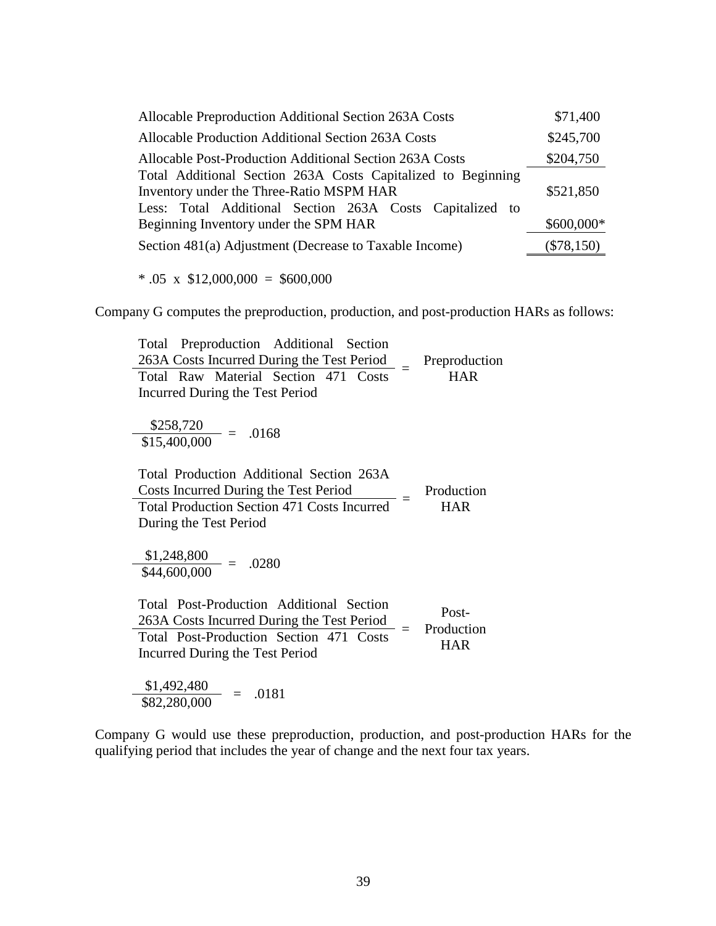| Allocable Preproduction Additional Section 263A Costs                                                    | \$71,400     |
|----------------------------------------------------------------------------------------------------------|--------------|
| Allocable Production Additional Section 263A Costs                                                       | \$245,700    |
| Allocable Post-Production Additional Section 263A Costs                                                  | \$204,750    |
| Total Additional Section 263A Costs Capitalized to Beginning<br>Inventory under the Three-Ratio MSPM HAR | \$521,850    |
| Less: Total Additional Section 263A Costs Capitalized to<br>Beginning Inventory under the SPM HAR        | \$600,000*   |
| Section 481(a) Adjustment (Decrease to Taxable Income)                                                   | $(\$78,150)$ |

 $* .05 \times $12,000,000 = $600,000$ 

Company G computes the preproduction, production, and post-production HARs as follows:

Total Preproduction Additional Section  $\frac{263A \text{ Costs Incurrent During the Test Period}}{3.25 \times 10^{10} \text{ N} \cdot \text{Costal}} =$ Preproduction Total Raw Material Section 471 Costs - HAR Incurred During the Test Period  $\frac{$258,720}{$15,400,000} = .0168$ Total Production Additional Section 263A  $\frac{3}{2}$  Costs Incurred During the Test Period  $\frac{3}{2}$  = Production  $Total Production Section 471 Costs Incurrent = HAR$ During the Test Period \$1,248,800  $- = .0280$ \$44,600,000 Total Post-Production Additional Section  $\frac{263A \text{ Costs Incurrent During the Test Period}}{324 \text{ Post Porting System}} =$ Post-Production Total Post-Production Section  $471$  Costs  $-$  Froduction Incurred During the Test Period  $\frac{$1,492,480}{$82,280,000}$  = .0181

Company G would use these preproduction, production, and post-production HARs for the qualifying period that includes the year of change and the next four tax years.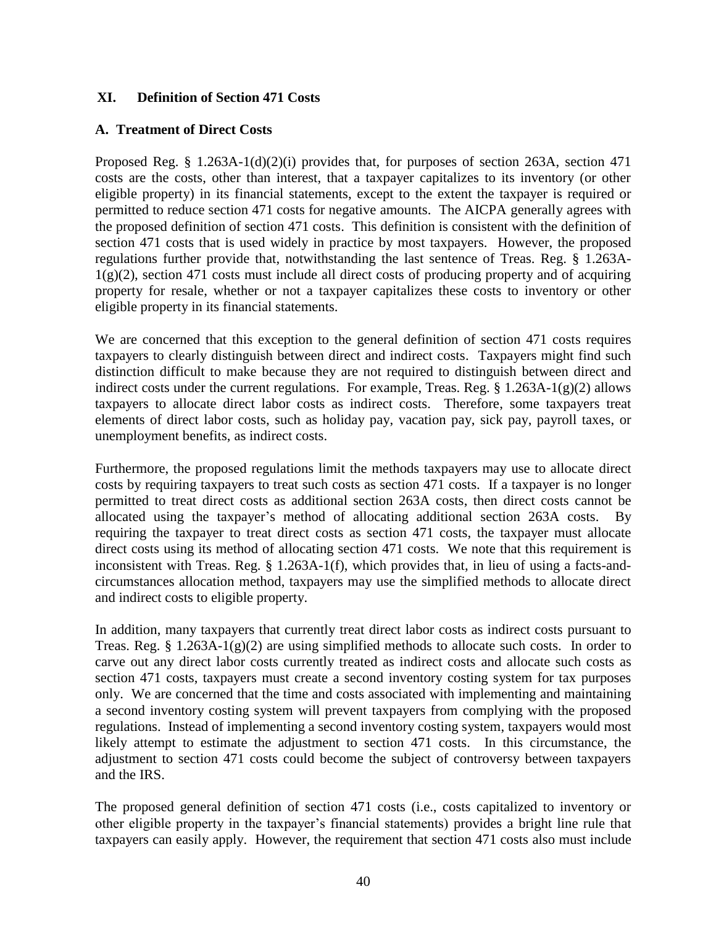### **XI. Definition of Section 471 Costs**

### **A. Treatment of Direct Costs**

Proposed Reg. § 1.263A-1(d)(2)(i) provides that, for purposes of section 263A, section 471 costs are the costs, other than interest, that a taxpayer capitalizes to its inventory (or other eligible property) in its financial statements, except to the extent the taxpayer is required or permitted to reduce section 471 costs for negative amounts. The AICPA generally agrees with the proposed definition of section 471 costs. This definition is consistent with the definition of section 471 costs that is used widely in practice by most taxpayers. However, the proposed regulations further provide that, notwithstanding the last sentence of Treas. Reg. § 1.263A- $1(g)(2)$ , section 471 costs must include all direct costs of producing property and of acquiring property for resale, whether or not a taxpayer capitalizes these costs to inventory or other eligible property in its financial statements.

We are concerned that this exception to the general definition of section 471 costs requires taxpayers to clearly distinguish between direct and indirect costs. Taxpayers might find such distinction difficult to make because they are not required to distinguish between direct and indirect costs under the current regulations. For example, Treas. Reg.  $\S 1.263A-1(g)(2)$  allows taxpayers to allocate direct labor costs as indirect costs. Therefore, some taxpayers treat elements of direct labor costs, such as holiday pay, vacation pay, sick pay, payroll taxes, or unemployment benefits, as indirect costs.

Furthermore, the proposed regulations limit the methods taxpayers may use to allocate direct costs by requiring taxpayers to treat such costs as section 471 costs. If a taxpayer is no longer permitted to treat direct costs as additional section 263A costs, then direct costs cannot be allocated using the taxpayer's method of allocating additional section 263A costs. By requiring the taxpayer to treat direct costs as section 471 costs, the taxpayer must allocate direct costs using its method of allocating section 471 costs. We note that this requirement is inconsistent with Treas. Reg. § 1.263A-1(f), which provides that, in lieu of using a facts-andcircumstances allocation method, taxpayers may use the simplified methods to allocate direct and indirect costs to eligible property.

In addition, many taxpayers that currently treat direct labor costs as indirect costs pursuant to Treas. Reg. § 1.263A-1(g)(2) are using simplified methods to allocate such costs. In order to carve out any direct labor costs currently treated as indirect costs and allocate such costs as section 471 costs, taxpayers must create a second inventory costing system for tax purposes only. We are concerned that the time and costs associated with implementing and maintaining a second inventory costing system will prevent taxpayers from complying with the proposed regulations. Instead of implementing a second inventory costing system, taxpayers would most likely attempt to estimate the adjustment to section 471 costs. In this circumstance, the adjustment to section 471 costs could become the subject of controversy between taxpayers and the IRS.

The proposed general definition of section 471 costs (i.e., costs capitalized to inventory or other eligible property in the taxpayer's financial statements) provides a bright line rule that taxpayers can easily apply. However, the requirement that section 471 costs also must include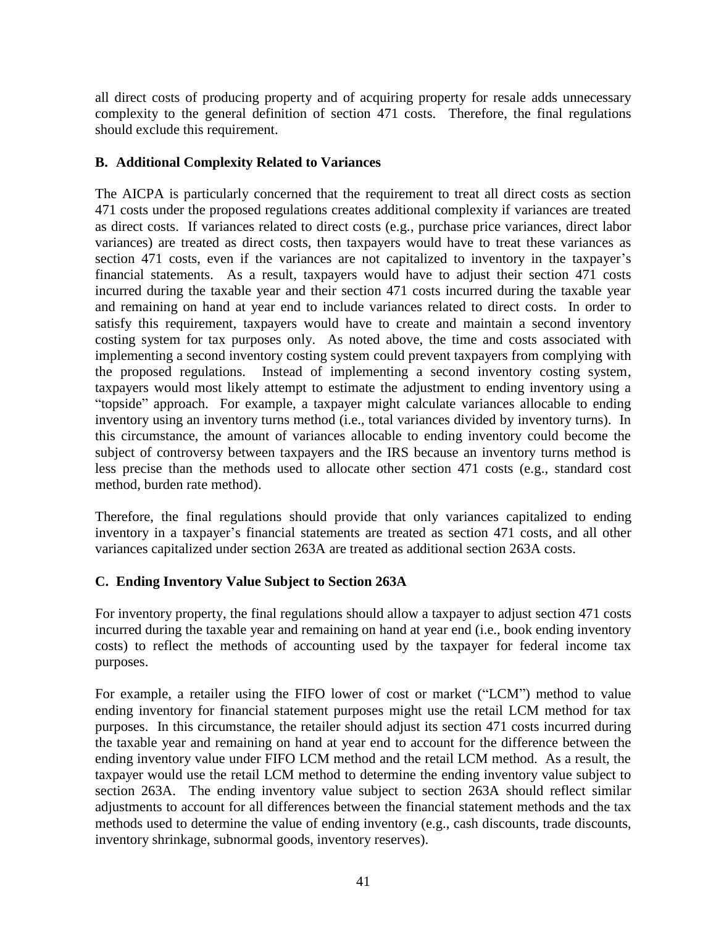all direct costs of producing property and of acquiring property for resale adds unnecessary complexity to the general definition of section 471 costs. Therefore, the final regulations should exclude this requirement.

### **B. Additional Complexity Related to Variances**

The AICPA is particularly concerned that the requirement to treat all direct costs as section 471 costs under the proposed regulations creates additional complexity if variances are treated as direct costs. If variances related to direct costs (e.g., purchase price variances, direct labor variances) are treated as direct costs, then taxpayers would have to treat these variances as section 471 costs, even if the variances are not capitalized to inventory in the taxpayer's financial statements. As a result, taxpayers would have to adjust their section 471 costs incurred during the taxable year and their section 471 costs incurred during the taxable year and remaining on hand at year end to include variances related to direct costs. In order to satisfy this requirement, taxpayers would have to create and maintain a second inventory costing system for tax purposes only. As noted above, the time and costs associated with implementing a second inventory costing system could prevent taxpayers from complying with the proposed regulations. Instead of implementing a second inventory costing system, taxpayers would most likely attempt to estimate the adjustment to ending inventory using a "topside" approach. For example, a taxpayer might calculate variances allocable to ending inventory using an inventory turns method (i.e., total variances divided by inventory turns). In this circumstance, the amount of variances allocable to ending inventory could become the subject of controversy between taxpayers and the IRS because an inventory turns method is less precise than the methods used to allocate other section 471 costs (e.g., standard cost method, burden rate method).

Therefore, the final regulations should provide that only variances capitalized to ending inventory in a taxpayer's financial statements are treated as section 471 costs, and all other variances capitalized under section 263A are treated as additional section 263A costs.

# **C. Ending Inventory Value Subject to Section 263A**

For inventory property, the final regulations should allow a taxpayer to adjust section 471 costs incurred during the taxable year and remaining on hand at year end (i.e., book ending inventory costs) to reflect the methods of accounting used by the taxpayer for federal income tax purposes.

For example, a retailer using the FIFO lower of cost or market ("LCM") method to value ending inventory for financial statement purposes might use the retail LCM method for tax purposes. In this circumstance, the retailer should adjust its section 471 costs incurred during the taxable year and remaining on hand at year end to account for the difference between the ending inventory value under FIFO LCM method and the retail LCM method. As a result, the taxpayer would use the retail LCM method to determine the ending inventory value subject to section 263A. The ending inventory value subject to section 263A should reflect similar adjustments to account for all differences between the financial statement methods and the tax methods used to determine the value of ending inventory (e.g., cash discounts, trade discounts, inventory shrinkage, subnormal goods, inventory reserves).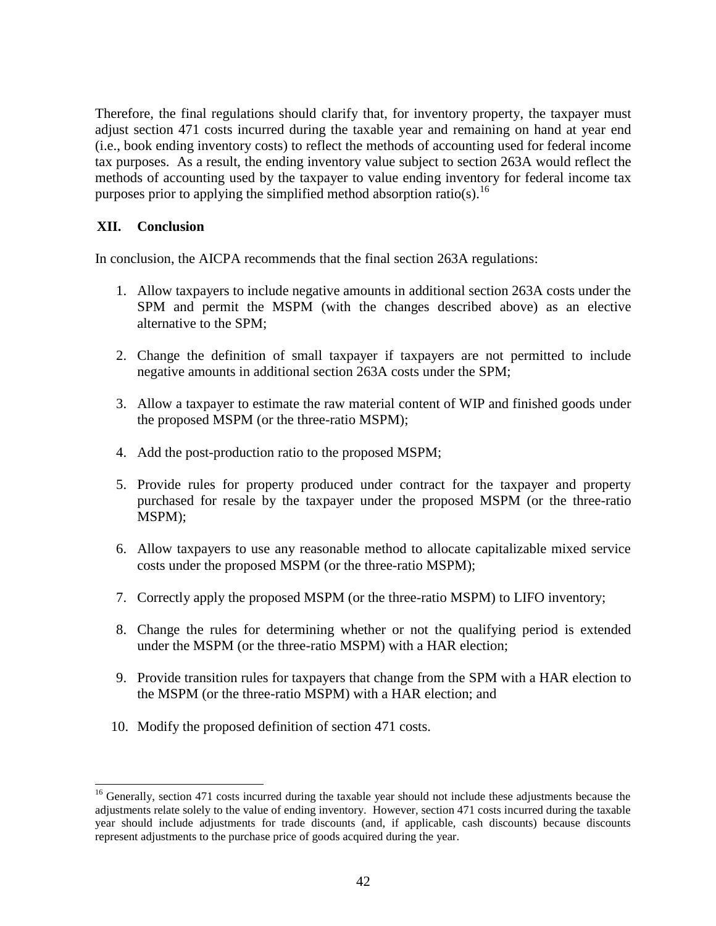Therefore, the final regulations should clarify that, for inventory property, the taxpayer must adjust section 471 costs incurred during the taxable year and remaining on hand at year end (i.e., book ending inventory costs) to reflect the methods of accounting used for federal income tax purposes. As a result, the ending inventory value subject to section 263A would reflect the methods of accounting used by the taxpayer to value ending inventory for federal income tax purposes prior to applying the simplified method absorption ratio(s).<sup>16</sup>

### **XII. Conclusion**

l

In conclusion, the AICPA recommends that the final section 263A regulations:

- 1. Allow taxpayers to include negative amounts in additional section 263A costs under the SPM and permit the MSPM (with the changes described above) as an elective alternative to the SPM;
- 2. Change the definition of small taxpayer if taxpayers are not permitted to include negative amounts in additional section 263A costs under the SPM;
- 3. Allow a taxpayer to estimate the raw material content of WIP and finished goods under the proposed MSPM (or the three-ratio MSPM);
- 4. Add the post-production ratio to the proposed MSPM;
- 5. Provide rules for property produced under contract for the taxpayer and property purchased for resale by the taxpayer under the proposed MSPM (or the three-ratio MSPM);
- 6. Allow taxpayers to use any reasonable method to allocate capitalizable mixed service costs under the proposed MSPM (or the three-ratio MSPM);
- 7. Correctly apply the proposed MSPM (or the three-ratio MSPM) to LIFO inventory;
- 8. Change the rules for determining whether or not the qualifying period is extended under the MSPM (or the three-ratio MSPM) with a HAR election;
- 9. Provide transition rules for taxpayers that change from the SPM with a HAR election to the MSPM (or the three-ratio MSPM) with a HAR election; and
- 10. Modify the proposed definition of section 471 costs.

<sup>&</sup>lt;sup>16</sup> Generally, section 471 costs incurred during the taxable year should not include these adjustments because the adjustments relate solely to the value of ending inventory. However, section 471 costs incurred during the taxable year should include adjustments for trade discounts (and, if applicable, cash discounts) because discounts represent adjustments to the purchase price of goods acquired during the year.